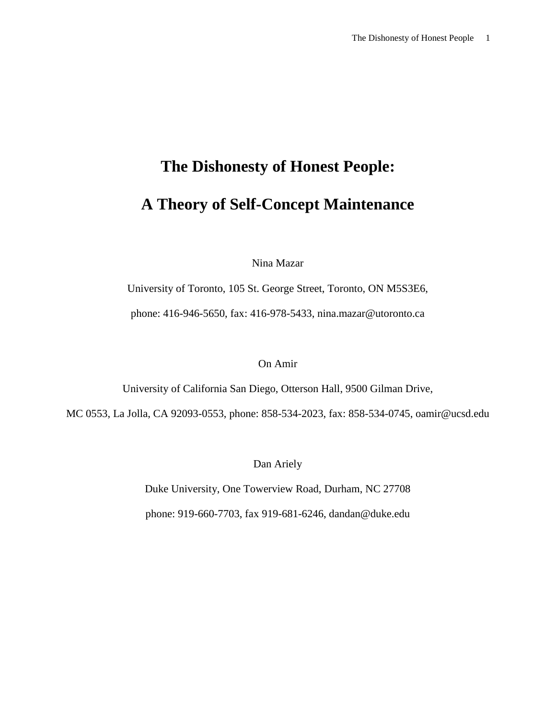# **The Dishonesty of Honest People: A Theory of Self-Concept Maintenance**

Nina Mazar

University of Toronto, 105 St. George Street, Toronto, ON M5S3E6,

phone: 416-946-5650, fax: 416-978-5433, nina.mazar@utoronto.ca

On Amir

University of California San Diego, Otterson Hall, 9500 Gilman Drive,

MC 0553, La Jolla, CA 92093-0553, phone: 858-534-2023, fax: 858-534-0745, oamir@ucsd.edu

Dan Ariely

Duke University, One Towerview Road, Durham, NC 27708

phone: 919-660-7703, fax 919-681-6246, dandan@duke.edu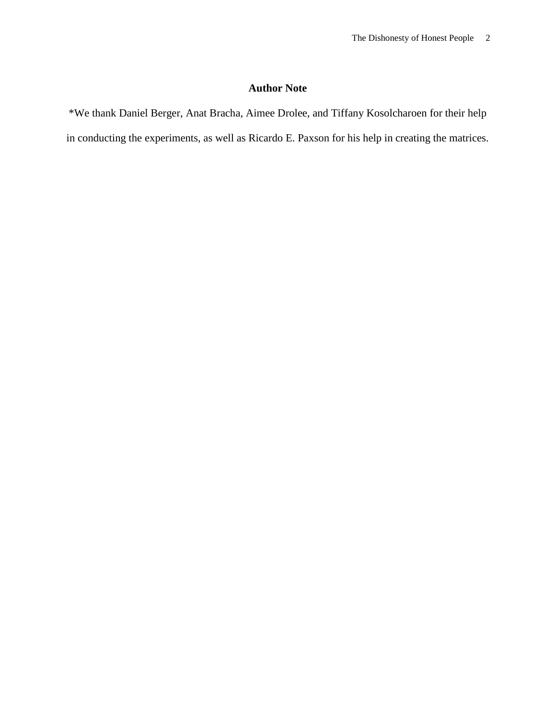### **Author Note**

\*We thank Daniel Berger, Anat Bracha, Aimee Drolee, and Tiffany Kosolcharoen for their help in conducting the experiments, as well as Ricardo E. Paxson for his help in creating the matrices.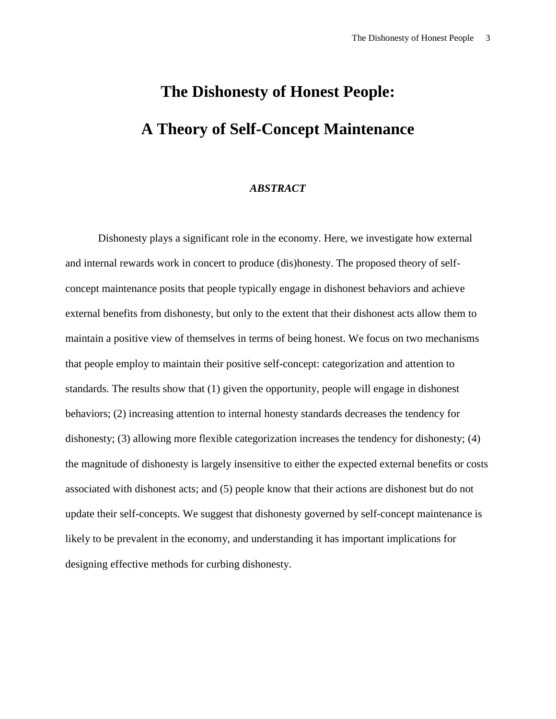# **The Dishonesty of Honest People: A Theory of Self-Concept Maintenance**

#### *ABSTRACT*

Dishonesty plays a significant role in the economy. Here, we investigate how external and internal rewards work in concert to produce (dis)honesty. The proposed theory of selfconcept maintenance posits that people typically engage in dishonest behaviors and achieve external benefits from dishonesty, but only to the extent that their dishonest acts allow them to maintain a positive view of themselves in terms of being honest. We focus on two mechanisms that people employ to maintain their positive self-concept: categorization and attention to standards. The results show that (1) given the opportunity, people will engage in dishonest behaviors; (2) increasing attention to internal honesty standards decreases the tendency for dishonesty; (3) allowing more flexible categorization increases the tendency for dishonesty; (4) the magnitude of dishonesty is largely insensitive to either the expected external benefits or costs associated with dishonest acts; and (5) people know that their actions are dishonest but do not update their self-concepts. We suggest that dishonesty governed by self-concept maintenance is likely to be prevalent in the economy, and understanding it has important implications for designing effective methods for curbing dishonesty.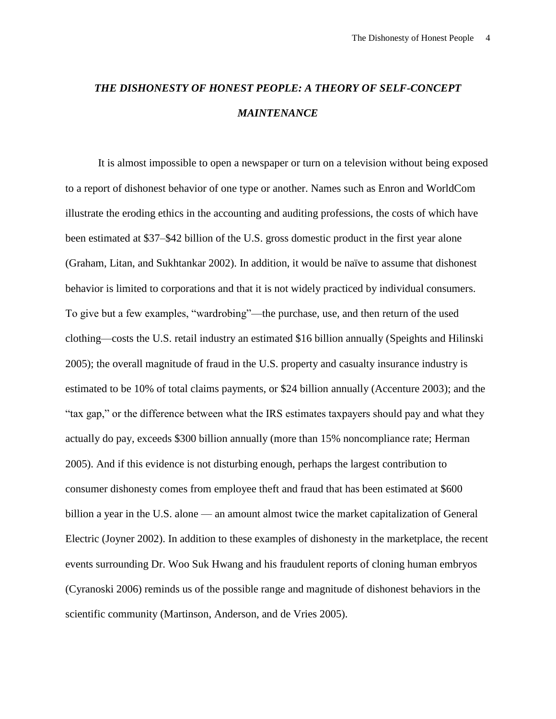## *THE DISHONESTY OF HONEST PEOPLE: A THEORY OF SELF-CONCEPT MAINTENANCE*

It is almost impossible to open a newspaper or turn on a television without being exposed to a report of dishonest behavior of one type or another. Names such as Enron and WorldCom illustrate the eroding ethics in the accounting and auditing professions, the costs of which have been estimated at \$37–\$42 billion of the U.S. gross domestic product in the first year alone (Graham, Litan, and Sukhtankar 2002). In addition, it would be naïve to assume that dishonest behavior is limited to corporations and that it is not widely practiced by individual consumers. To give but a few examples, "wardrobing"—the purchase, use, and then return of the used clothing—costs the U.S. retail industry an estimated \$16 billion annually (Speights and Hilinski 2005); the overall magnitude of fraud in the U.S. property and casualty insurance industry is estimated to be 10% of total claims payments, or \$24 billion annually (Accenture 2003); and the "tax gap," or the difference between what the IRS estimates taxpayers should pay and what they actually do pay, exceeds \$300 billion annually (more than 15% noncompliance rate; Herman 2005). And if this evidence is not disturbing enough, perhaps the largest contribution to consumer dishonesty comes from employee theft and fraud that has been estimated at \$600 billion a year in the U.S. alone — an amount almost twice the market capitalization of General Electric (Joyner 2002). In addition to these examples of dishonesty in the marketplace, the recent events surrounding Dr. Woo Suk Hwang and his fraudulent reports of cloning human embryos (Cyranoski 2006) reminds us of the possible range and magnitude of dishonest behaviors in the scientific community (Martinson, Anderson, and de Vries 2005).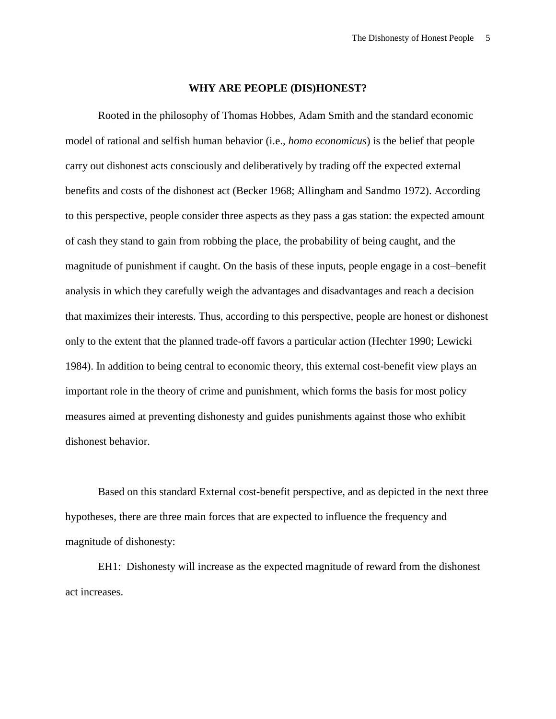#### **WHY ARE PEOPLE (DIS)HONEST?**

Rooted in the philosophy of Thomas Hobbes, Adam Smith and the standard economic model of rational and selfish human behavior (i.e., *homo economicus*) is the belief that people carry out dishonest acts consciously and deliberatively by trading off the expected external benefits and costs of the dishonest act (Becker 1968; Allingham and Sandmo 1972). According to this perspective, people consider three aspects as they pass a gas station: the expected amount of cash they stand to gain from robbing the place, the probability of being caught, and the magnitude of punishment if caught. On the basis of these inputs, people engage in a cost–benefit analysis in which they carefully weigh the advantages and disadvantages and reach a decision that maximizes their interests. Thus, according to this perspective, people are honest or dishonest only to the extent that the planned trade-off favors a particular action (Hechter 1990; Lewicki 1984). In addition to being central to economic theory, this external cost-benefit view plays an important role in the theory of crime and punishment, which forms the basis for most policy measures aimed at preventing dishonesty and guides punishments against those who exhibit dishonest behavior.

Based on this standard External cost-benefit perspective, and as depicted in the next three hypotheses, there are three main forces that are expected to influence the frequency and magnitude of dishonesty:

EH1: Dishonesty will increase as the expected magnitude of reward from the dishonest act increases.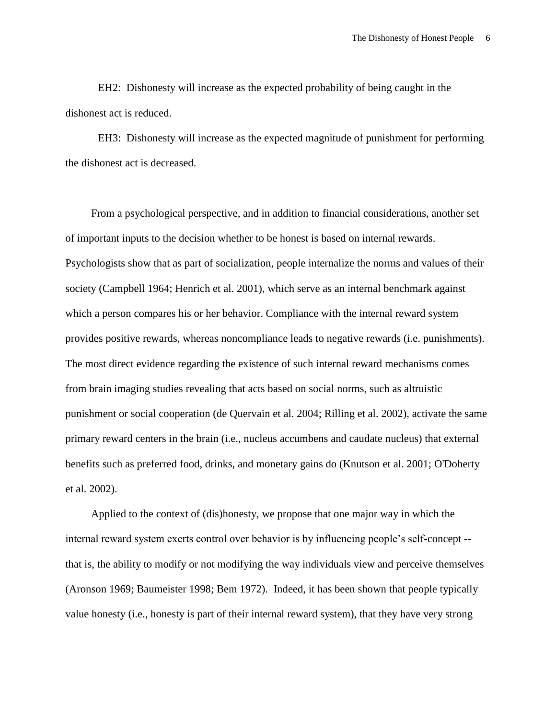EH2: Dishonesty will increase as the expected probability of being caught in the dishonest act is reduced.

EH3: Dishonesty will increase as the expected magnitude of punishment for performing the dishonest act is decreased.

From a psychological perspective, and in addition to financial considerations, another set of important inputs to the decision whether to be honest is based on internal rewards. Psychologists show that as part of socialization, people internalize the norms and values of their society (Campbell 1964; Henrich et al. 2001), which serve as an internal benchmark against which a person compares his or her behavior. Compliance with the internal reward system provides positive rewards, whereas noncompliance leads to negative rewards (i.e. punishments). The most direct evidence regarding the existence of such internal reward mechanisms comes from brain imaging studies revealing that acts based on social norms, such as altruistic punishment or social cooperation (de Quervain et al. 2004; Rilling et al. 2002), activate the same primary reward centers in the brain (i.e., nucleus accumbens and caudate nucleus) that external benefits such as preferred food, drinks, and monetary gains do (Knutson et al. 2001; O'Doherty et al. 2002).

Applied to the context of (dis)honesty, we propose that one major way in which the internal reward system exerts control over behavior is by influencing people's self-concept - that is, the ability to modify or not modifying the way individuals view and perceive themselves (Aronson 1969; Baumeister 1998; Bem 1972). Indeed, it has been shown that people typically value honesty (i.e., honesty is part of their internal reward system), that they have very strong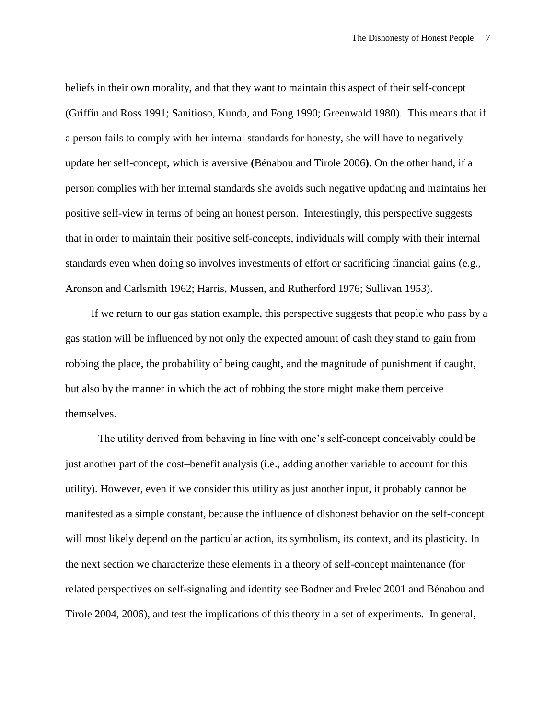beliefs in their own morality, and that they want to maintain this aspect of their self-concept (Griffin and Ross 1991; Sanitioso, Kunda, and Fong 1990; Greenwald 1980). This means that if a person fails to comply with her internal standards for honesty, she will have to negatively update her self-concept, which is aversive **(**Bénabou and Tirole 2006**)**. On the other hand, if a person complies with her internal standards she avoids such negative updating and maintains her positive self-view in terms of being an honest person. Interestingly, this perspective suggests that in order to maintain their positive self-concepts, individuals will comply with their internal standards even when doing so involves investments of effort or sacrificing financial gains (e.g., Aronson and Carlsmith 1962; Harris, Mussen, and Rutherford 1976; Sullivan 1953).

If we return to our gas station example, this perspective suggests that people who pass by a gas station will be influenced by not only the expected amount of cash they stand to gain from robbing the place, the probability of being caught, and the magnitude of punishment if caught, but also by the manner in which the act of robbing the store might make them perceive themselves.

The utility derived from behaving in line with one's self-concept conceivably could be just another part of the cost–benefit analysis (i.e., adding another variable to account for this utility). However, even if we consider this utility as just another input, it probably cannot be manifested as a simple constant, because the influence of dishonest behavior on the self-concept will most likely depend on the particular action, its symbolism, its context, and its plasticity. In the next section we characterize these elements in a theory of self-concept maintenance (for related perspectives on self-signaling and identity see Bodner and Prelec 2001 and Bénabou and Tirole 2004, 2006), and test the implications of this theory in a set of experiments. In general,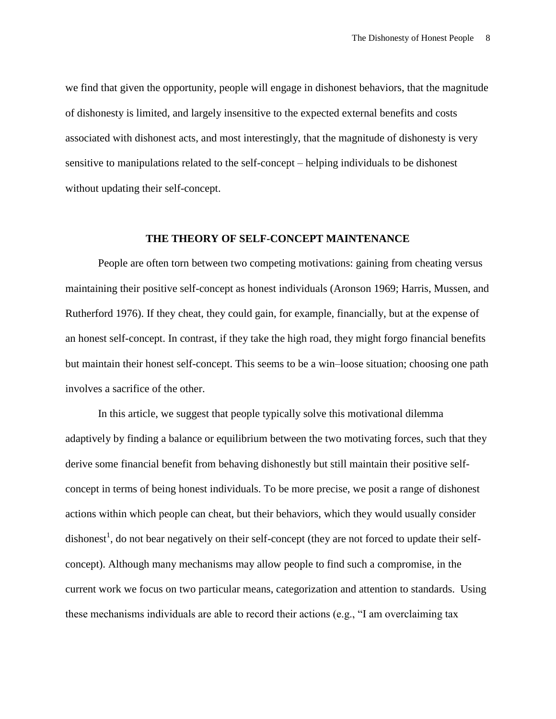we find that given the opportunity, people will engage in dishonest behaviors, that the magnitude of dishonesty is limited, and largely insensitive to the expected external benefits and costs associated with dishonest acts, and most interestingly, that the magnitude of dishonesty is very sensitive to manipulations related to the self-concept – helping individuals to be dishonest without updating their self-concept.

#### **THE THEORY OF SELF-CONCEPT MAINTENANCE**

People are often torn between two competing motivations: gaining from cheating versus maintaining their positive self-concept as honest individuals (Aronson 1969; Harris, Mussen, and Rutherford 1976). If they cheat, they could gain, for example, financially, but at the expense of an honest self-concept. In contrast, if they take the high road, they might forgo financial benefits but maintain their honest self-concept. This seems to be a win–loose situation; choosing one path involves a sacrifice of the other.

In this article, we suggest that people typically solve this motivational dilemma adaptively by finding a balance or equilibrium between the two motivating forces, such that they derive some financial benefit from behaving dishonestly but still maintain their positive selfconcept in terms of being honest individuals. To be more precise, we posit a range of dishonest actions within which people can cheat, but their behaviors, which they would usually consider dishonest<sup>1</sup>, do not bear negatively on their self-concept (they are not forced to update their selfconcept). Although many mechanisms may allow people to find such a compromise, in the current work we focus on two particular means, categorization and attention to standards. Using these mechanisms individuals are able to record their actions (e.g., "I am overclaiming tax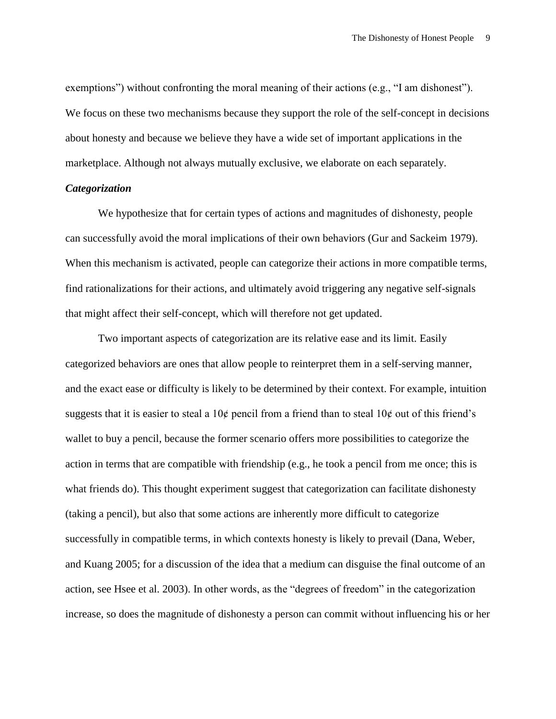exemptions") without confronting the moral meaning of their actions (e.g., "I am dishonest"). We focus on these two mechanisms because they support the role of the self-concept in decisions about honesty and because we believe they have a wide set of important applications in the marketplace. Although not always mutually exclusive, we elaborate on each separately.

#### *Categorization*

We hypothesize that for certain types of actions and magnitudes of dishonesty, people can successfully avoid the moral implications of their own behaviors (Gur and Sackeim 1979). When this mechanism is activated, people can categorize their actions in more compatible terms, find rationalizations for their actions, and ultimately avoid triggering any negative self-signals that might affect their self-concept, which will therefore not get updated.

Two important aspects of categorization are its relative ease and its limit. Easily categorized behaviors are ones that allow people to reinterpret them in a self-serving manner, and the exact ease or difficulty is likely to be determined by their context. For example, intuition suggests that it is easier to steal a  $10¢$  pencil from a friend than to steal  $10¢$  out of this friend's wallet to buy a pencil, because the former scenario offers more possibilities to categorize the action in terms that are compatible with friendship (e.g., he took a pencil from me once; this is what friends do). This thought experiment suggest that categorization can facilitate dishonesty (taking a pencil), but also that some actions are inherently more difficult to categorize successfully in compatible terms, in which contexts honesty is likely to prevail (Dana, Weber, and Kuang 2005; for a discussion of the idea that a medium can disguise the final outcome of an action, see Hsee et al. 2003). In other words, as the "degrees of freedom" in the categorization increase, so does the magnitude of dishonesty a person can commit without influencing his or her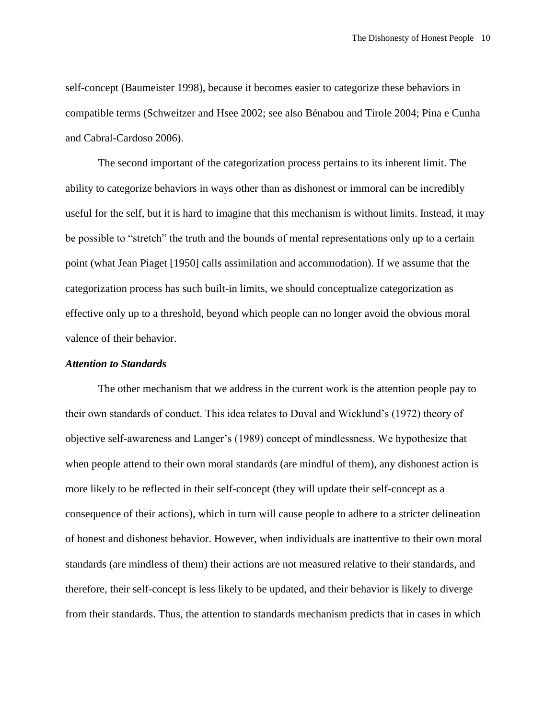self-concept (Baumeister 1998), because it becomes easier to categorize these behaviors in compatible terms (Schweitzer and Hsee 2002; see also Bénabou and Tirole 2004; Pina e Cunha and Cabral-Cardoso 2006).

The second important of the categorization process pertains to its inherent limit. The ability to categorize behaviors in ways other than as dishonest or immoral can be incredibly useful for the self, but it is hard to imagine that this mechanism is without limits. Instead, it may be possible to "stretch" the truth and the bounds of mental representations only up to a certain point (what Jean Piaget [1950] calls assimilation and accommodation). If we assume that the categorization process has such built-in limits, we should conceptualize categorization as effective only up to a threshold, beyond which people can no longer avoid the obvious moral valence of their behavior.

#### *Attention to Standards*

The other mechanism that we address in the current work is the attention people pay to their own standards of conduct. This idea relates to Duval and Wicklund's (1972) theory of objective self-awareness and Langer's (1989) concept of mindlessness. We hypothesize that when people attend to their own moral standards (are mindful of them), any dishonest action is more likely to be reflected in their self-concept (they will update their self-concept as a consequence of their actions), which in turn will cause people to adhere to a stricter delineation of honest and dishonest behavior. However, when individuals are inattentive to their own moral standards (are mindless of them) their actions are not measured relative to their standards, and therefore, their self-concept is less likely to be updated, and their behavior is likely to diverge from their standards. Thus, the attention to standards mechanism predicts that in cases in which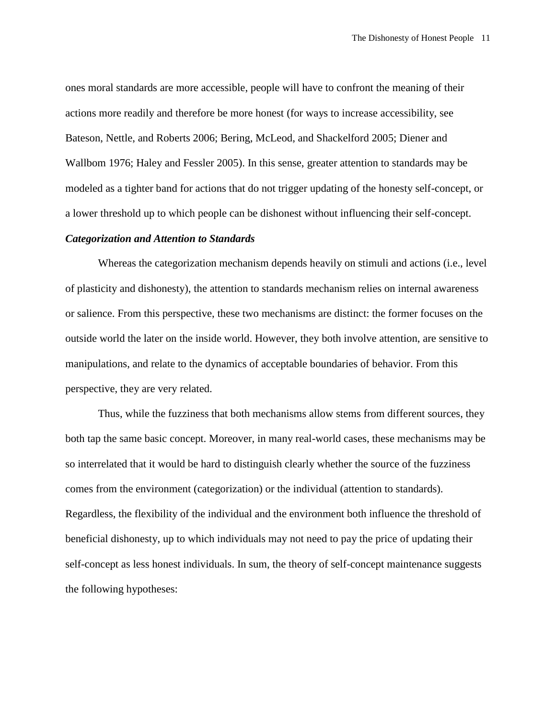ones moral standards are more accessible, people will have to confront the meaning of their actions more readily and therefore be more honest (for ways to increase accessibility, see Bateson, Nettle, and Roberts 2006; Bering, McLeod, and Shackelford 2005; Diener and Wallbom 1976; Haley and Fessler 2005). In this sense, greater attention to standards may be modeled as a tighter band for actions that do not trigger updating of the honesty self-concept, or a lower threshold up to which people can be dishonest without influencing their self-concept.

#### *Categorization and Attention to Standards*

Whereas the categorization mechanism depends heavily on stimuli and actions (i.e., level of plasticity and dishonesty), the attention to standards mechanism relies on internal awareness or salience. From this perspective, these two mechanisms are distinct: the former focuses on the outside world the later on the inside world. However, they both involve attention, are sensitive to manipulations, and relate to the dynamics of acceptable boundaries of behavior. From this perspective, they are very related.

Thus, while the fuzziness that both mechanisms allow stems from different sources, they both tap the same basic concept. Moreover, in many real-world cases, these mechanisms may be so interrelated that it would be hard to distinguish clearly whether the source of the fuzziness comes from the environment (categorization) or the individual (attention to standards). Regardless, the flexibility of the individual and the environment both influence the threshold of beneficial dishonesty, up to which individuals may not need to pay the price of updating their self-concept as less honest individuals. In sum, the theory of self-concept maintenance suggests the following hypotheses: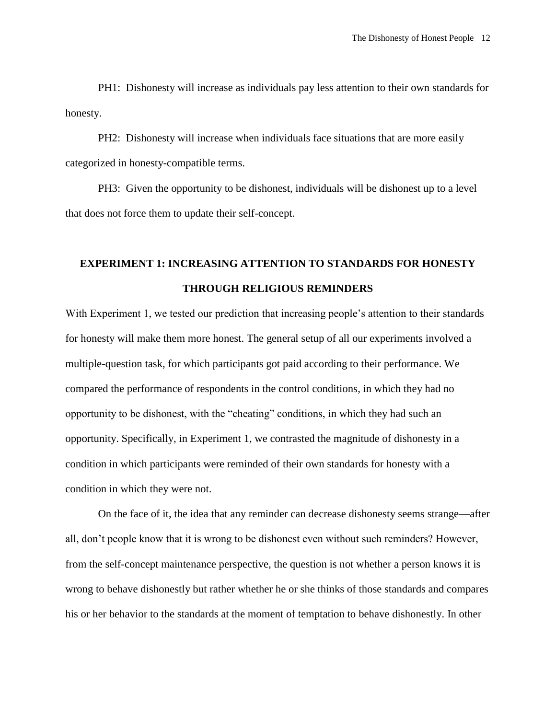PH1: Dishonesty will increase as individuals pay less attention to their own standards for honesty.

PH2: Dishonesty will increase when individuals face situations that are more easily categorized in honesty-compatible terms.

PH3: Given the opportunity to be dishonest, individuals will be dishonest up to a level that does not force them to update their self-concept.

## **EXPERIMENT 1: INCREASING ATTENTION TO STANDARDS FOR HONESTY THROUGH RELIGIOUS REMINDERS**

With Experiment 1, we tested our prediction that increasing people's attention to their standards for honesty will make them more honest. The general setup of all our experiments involved a multiple-question task, for which participants got paid according to their performance. We compared the performance of respondents in the control conditions, in which they had no opportunity to be dishonest, with the "cheating" conditions, in which they had such an opportunity. Specifically, in Experiment 1, we contrasted the magnitude of dishonesty in a condition in which participants were reminded of their own standards for honesty with a condition in which they were not.

On the face of it, the idea that any reminder can decrease dishonesty seems strange—after all, don't people know that it is wrong to be dishonest even without such reminders? However, from the self-concept maintenance perspective, the question is not whether a person knows it is wrong to behave dishonestly but rather whether he or she thinks of those standards and compares his or her behavior to the standards at the moment of temptation to behave dishonestly. In other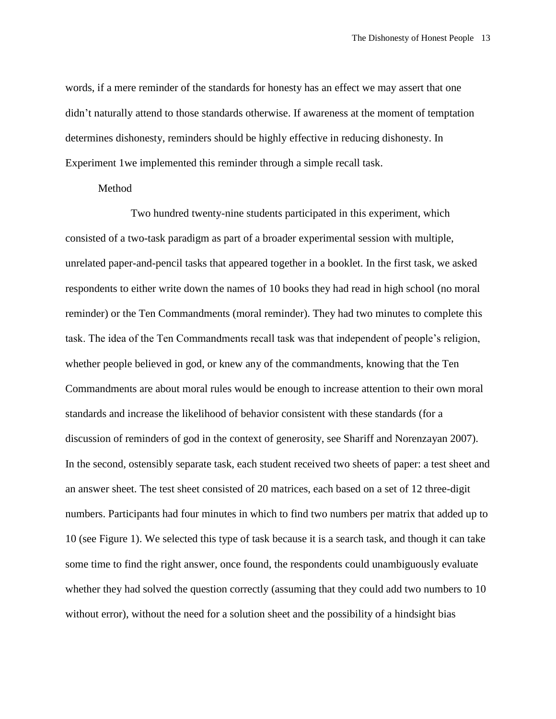words, if a mere reminder of the standards for honesty has an effect we may assert that one didn't naturally attend to those standards otherwise. If awareness at the moment of temptation determines dishonesty, reminders should be highly effective in reducing dishonesty. In Experiment 1we implemented this reminder through a simple recall task.

#### Method

Two hundred twenty-nine students participated in this experiment, which consisted of a two-task paradigm as part of a broader experimental session with multiple, unrelated paper-and-pencil tasks that appeared together in a booklet. In the first task, we asked respondents to either write down the names of 10 books they had read in high school (no moral reminder) or the Ten Commandments (moral reminder). They had two minutes to complete this task. The idea of the Ten Commandments recall task was that independent of people's religion, whether people believed in god, or knew any of the commandments, knowing that the Ten Commandments are about moral rules would be enough to increase attention to their own moral standards and increase the likelihood of behavior consistent with these standards (for a discussion of reminders of god in the context of generosity, see Shariff and Norenzayan 2007). In the second, ostensibly separate task, each student received two sheets of paper: a test sheet and an answer sheet. The test sheet consisted of 20 matrices, each based on a set of 12 three-digit numbers. Participants had four minutes in which to find two numbers per matrix that added up to 10 (see Figure 1). We selected this type of task because it is a search task, and though it can take some time to find the right answer, once found, the respondents could unambiguously evaluate whether they had solved the question correctly (assuming that they could add two numbers to 10 without error), without the need for a solution sheet and the possibility of a hindsight bias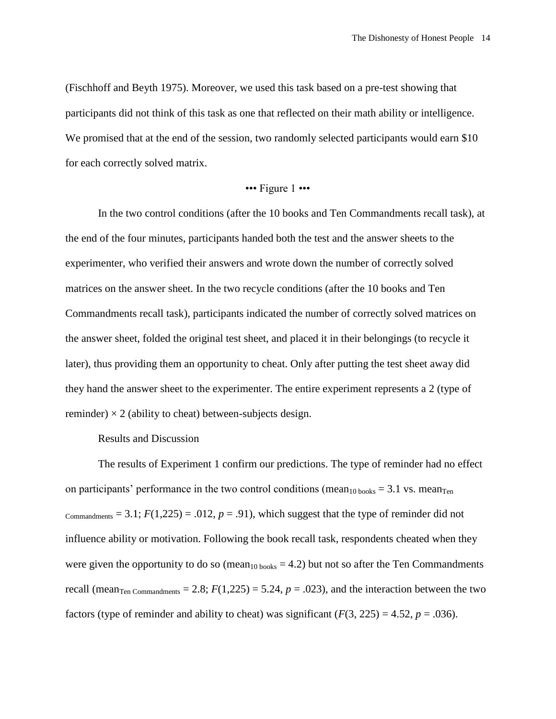(Fischhoff and Beyth 1975). Moreover, we used this task based on a pre-test showing that participants did not think of this task as one that reflected on their math ability or intelligence. We promised that at the end of the session, two randomly selected participants would earn \$10 for each correctly solved matrix.

#### ••• Figure 1 •••

In the two control conditions (after the 10 books and Ten Commandments recall task), at the end of the four minutes, participants handed both the test and the answer sheets to the experimenter, who verified their answers and wrote down the number of correctly solved matrices on the answer sheet. In the two recycle conditions (after the 10 books and Ten Commandments recall task), participants indicated the number of correctly solved matrices on the answer sheet, folded the original test sheet, and placed it in their belongings (to recycle it later), thus providing them an opportunity to cheat. Only after putting the test sheet away did they hand the answer sheet to the experimenter. The entire experiment represents a 2 (type of reminder)  $\times$  2 (ability to cheat) between-subjects design.

#### Results and Discussion

The results of Experiment 1 confirm our predictions. The type of reminder had no effect on participants' performance in the two control conditions (mean<sub>10 books</sub> = 3.1 vs. mean<sub>Ten</sub>  $_{\text{Commandments}} = 3.1$ ;  $F(1,225) = .012$ ,  $p = .91$ ), which suggest that the type of reminder did not influence ability or motivation. Following the book recall task, respondents cheated when they were given the opportunity to do so (mean<sub>10 books</sub> = 4.2) but not so after the Ten Commandments recall (mean<sub>Ten Commandments</sub> = 2.8;  $F(1,225) = 5.24$ ,  $p = .023$ ), and the interaction between the two factors (type of reminder and ability to cheat) was significant  $(F(3, 225) = 4.52, p = .036)$ .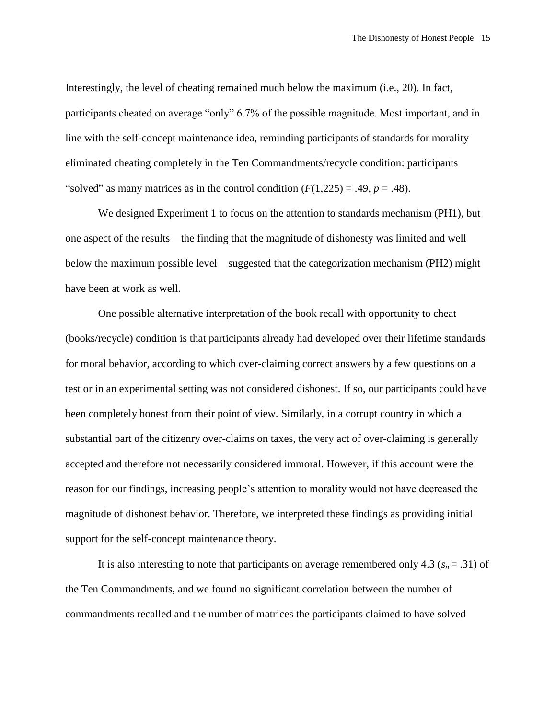Interestingly, the level of cheating remained much below the maximum (i.e., 20). In fact, participants cheated on average "only" 6.7% of the possible magnitude. Most important, and in line with the self-concept maintenance idea, reminding participants of standards for morality eliminated cheating completely in the Ten Commandments/recycle condition: participants "solved" as many matrices as in the control condition  $(F(1,225) = .49, p = .48)$ .

We designed Experiment 1 to focus on the attention to standards mechanism (PH1), but one aspect of the results—the finding that the magnitude of dishonesty was limited and well below the maximum possible level—suggested that the categorization mechanism (PH2) might have been at work as well.

One possible alternative interpretation of the book recall with opportunity to cheat (books/recycle) condition is that participants already had developed over their lifetime standards for moral behavior, according to which over-claiming correct answers by a few questions on a test or in an experimental setting was not considered dishonest. If so, our participants could have been completely honest from their point of view. Similarly, in a corrupt country in which a substantial part of the citizenry over-claims on taxes, the very act of over-claiming is generally accepted and therefore not necessarily considered immoral. However, if this account were the reason for our findings, increasing people's attention to morality would not have decreased the magnitude of dishonest behavior. Therefore, we interpreted these findings as providing initial support for the self-concept maintenance theory.

It is also interesting to note that participants on average remembered only 4.3 ( $s_n = .31$ ) of the Ten Commandments, and we found no significant correlation between the number of commandments recalled and the number of matrices the participants claimed to have solved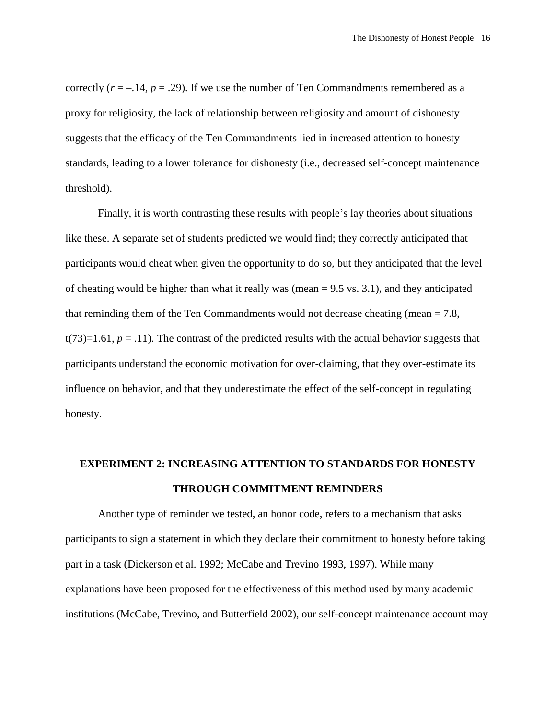correctly  $(r = -14, p = .29)$ . If we use the number of Ten Commandments remembered as a proxy for religiosity, the lack of relationship between religiosity and amount of dishonesty suggests that the efficacy of the Ten Commandments lied in increased attention to honesty standards, leading to a lower tolerance for dishonesty (i.e., decreased self-concept maintenance threshold).

Finally, it is worth contrasting these results with people's lay theories about situations like these. A separate set of students predicted we would find; they correctly anticipated that participants would cheat when given the opportunity to do so, but they anticipated that the level of cheating would be higher than what it really was (mean  $= 9.5$  vs. 3.1), and they anticipated that reminding them of the Ten Commandments would not decrease cheating (mean  $= 7.8$ ,  $t(73)=1.61, p = .11$ ). The contrast of the predicted results with the actual behavior suggests that participants understand the economic motivation for over-claiming, that they over-estimate its influence on behavior, and that they underestimate the effect of the self-concept in regulating honesty.

# **EXPERIMENT 2: INCREASING ATTENTION TO STANDARDS FOR HONESTY THROUGH COMMITMENT REMINDERS**

Another type of reminder we tested, an honor code, refers to a mechanism that asks participants to sign a statement in which they declare their commitment to honesty before taking part in a task (Dickerson et al. 1992; McCabe and Trevino 1993, 1997). While many explanations have been proposed for the effectiveness of this method used by many academic institutions (McCabe, Trevino, and Butterfield 2002), our self-concept maintenance account may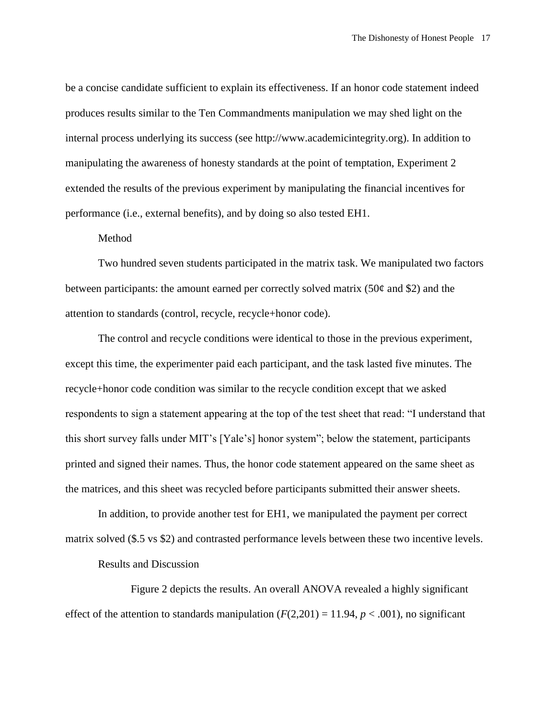be a concise candidate sufficient to explain its effectiveness. If an honor code statement indeed produces results similar to the Ten Commandments manipulation we may shed light on the internal process underlying its success (see http://www.academicintegrity.org). In addition to manipulating the awareness of honesty standards at the point of temptation, Experiment 2 extended the results of the previous experiment by manipulating the financial incentives for performance (i.e., external benefits), and by doing so also tested EH1.

#### Method

Two hundred seven students participated in the matrix task. We manipulated two factors between participants: the amount earned per correctly solved matrix (50 $\varphi$  and \$2) and the attention to standards (control, recycle, recycle+honor code).

The control and recycle conditions were identical to those in the previous experiment, except this time, the experimenter paid each participant, and the task lasted five minutes. The recycle+honor code condition was similar to the recycle condition except that we asked respondents to sign a statement appearing at the top of the test sheet that read: "I understand that this short survey falls under MIT's [Yale's] honor system"; below the statement, participants printed and signed their names. Thus, the honor code statement appeared on the same sheet as the matrices, and this sheet was recycled before participants submitted their answer sheets.

In addition, to provide another test for EH1, we manipulated the payment per correct matrix solved (\$.5 vs \$2) and contrasted performance levels between these two incentive levels.

Results and Discussion

Figure 2 depicts the results. An overall ANOVA revealed a highly significant effect of the attention to standards manipulation  $(F(2,201) = 11.94, p < .001)$ , no significant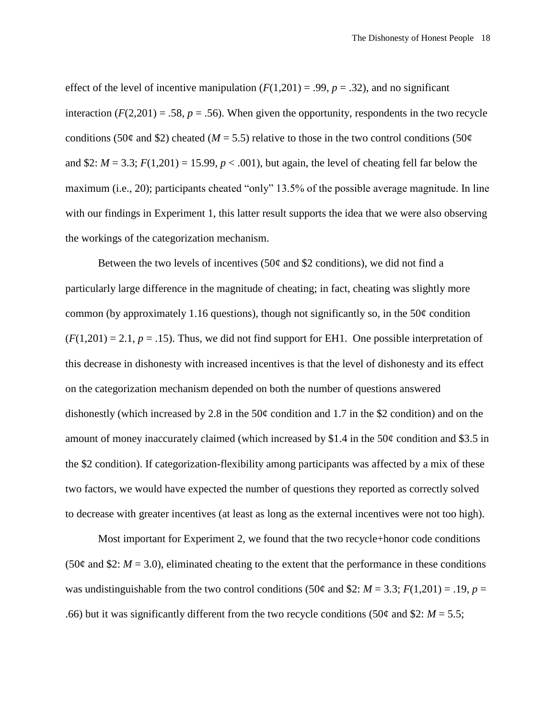effect of the level of incentive manipulation  $(F(1,201) = .99, p = .32)$ , and no significant interaction  $(F(2,201) = .58, p = .56)$ . When given the opportunity, respondents in the two recycle conditions (50¢ and \$2) cheated ( $M = 5.5$ ) relative to those in the two control conditions (50¢ and \$2:  $M = 3.3$ ;  $F(1,201) = 15.99$ ,  $p < .001$ ), but again, the level of cheating fell far below the maximum (i.e., 20); participants cheated "only" 13.5% of the possible average magnitude. In line with our findings in Experiment 1, this latter result supports the idea that we were also observing the workings of the categorization mechanism.

Between the two levels of incentives (50 $\phi$  and \$2 conditions), we did not find a particularly large difference in the magnitude of cheating; in fact, cheating was slightly more common (by approximately 1.16 questions), though not significantly so, in the  $50¢$  condition  $(F(1,201) = 2.1, p = .15)$ . Thus, we did not find support for EH1. One possible interpretation of this decrease in dishonesty with increased incentives is that the level of dishonesty and its effect on the categorization mechanism depended on both the number of questions answered dishonestly (which increased by 2.8 in the  $50¢$  condition and 1.7 in the \$2 condition) and on the amount of money inaccurately claimed (which increased by \$1.4 in the  $50¢$  condition and \$3.5 in the \$2 condition). If categorization-flexibility among participants was affected by a mix of these two factors, we would have expected the number of questions they reported as correctly solved to decrease with greater incentives (at least as long as the external incentives were not too high).

Most important for Experiment 2, we found that the two recycle+honor code conditions (50 $\varphi$  and \$2:  $M = 3.0$ ), eliminated cheating to the extent that the performance in these conditions was undistinguishable from the two control conditions (50 $\phi$  and \$2: *M* = 3.3; *F*(1,201) = .19, *p* = .66) but it was significantly different from the two recycle conditions (50 $\phi$  and \$2: *M* = 5.5;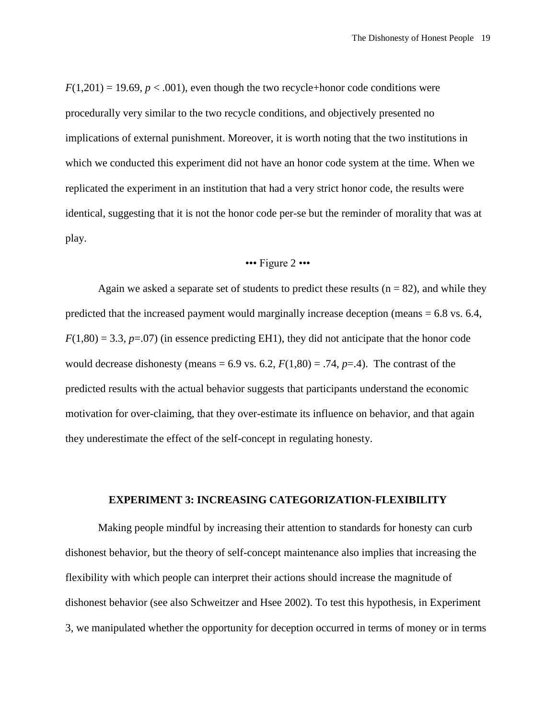$F(1,201) = 19.69, p < .001$ , even though the two recycle+honor code conditions were procedurally very similar to the two recycle conditions, and objectively presented no implications of external punishment. Moreover, it is worth noting that the two institutions in which we conducted this experiment did not have an honor code system at the time. When we replicated the experiment in an institution that had a very strict honor code, the results were identical, suggesting that it is not the honor code per-se but the reminder of morality that was at play.

#### ••• Figure 2 •••

Again we asked a separate set of students to predict these results ( $n = 82$ ), and while they predicted that the increased payment would marginally increase deception (means  $= 6.8$  vs. 6.4,  $F(1,80) = 3.3$ ,  $p=.07$ ) (in essence predicting EH1), they did not anticipate that the honor code would decrease dishonesty (means =  $6.9$  vs.  $6.2$ ,  $F(1,80) = .74$ ,  $p=4$ ). The contrast of the predicted results with the actual behavior suggests that participants understand the economic motivation for over-claiming, that they over-estimate its influence on behavior, and that again they underestimate the effect of the self-concept in regulating honesty.

#### **EXPERIMENT 3: INCREASING CATEGORIZATION-FLEXIBILITY**

Making people mindful by increasing their attention to standards for honesty can curb dishonest behavior, but the theory of self-concept maintenance also implies that increasing the flexibility with which people can interpret their actions should increase the magnitude of dishonest behavior (see also Schweitzer and Hsee 2002). To test this hypothesis, in Experiment 3, we manipulated whether the opportunity for deception occurred in terms of money or in terms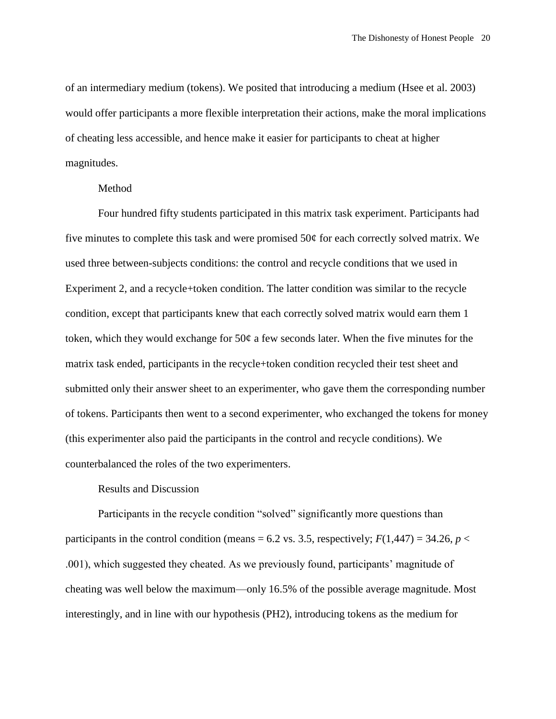of an intermediary medium (tokens). We posited that introducing a medium (Hsee et al. 2003) would offer participants a more flexible interpretation their actions, make the moral implications of cheating less accessible, and hence make it easier for participants to cheat at higher magnitudes.

#### Method

Four hundred fifty students participated in this matrix task experiment. Participants had five minutes to complete this task and were promised 50¢ for each correctly solved matrix. We used three between-subjects conditions: the control and recycle conditions that we used in Experiment 2, and a recycle+token condition. The latter condition was similar to the recycle condition, except that participants knew that each correctly solved matrix would earn them 1 token, which they would exchange for 50¢ a few seconds later. When the five minutes for the matrix task ended, participants in the recycle+token condition recycled their test sheet and submitted only their answer sheet to an experimenter, who gave them the corresponding number of tokens. Participants then went to a second experimenter, who exchanged the tokens for money (this experimenter also paid the participants in the control and recycle conditions). We counterbalanced the roles of the two experimenters.

#### Results and Discussion

Participants in the recycle condition "solved" significantly more questions than participants in the control condition (means = 6.2 vs. 3.5, respectively;  $F(1,447) = 34.26$ ,  $p <$ .001), which suggested they cheated. As we previously found, participants' magnitude of cheating was well below the maximum—only 16.5% of the possible average magnitude. Most interestingly, and in line with our hypothesis (PH2), introducing tokens as the medium for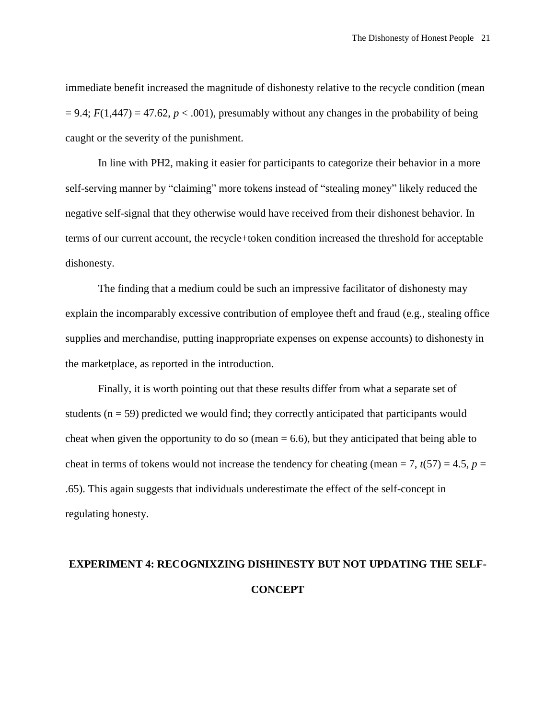immediate benefit increased the magnitude of dishonesty relative to the recycle condition (mean  $= 9.4$ ;  $F(1,447) = 47.62$ ,  $p < .001$ ), presumably without any changes in the probability of being caught or the severity of the punishment.

In line with PH2, making it easier for participants to categorize their behavior in a more self-serving manner by "claiming" more tokens instead of "stealing money" likely reduced the negative self-signal that they otherwise would have received from their dishonest behavior. In terms of our current account, the recycle+token condition increased the threshold for acceptable dishonesty.

The finding that a medium could be such an impressive facilitator of dishonesty may explain the incomparably excessive contribution of employee theft and fraud (e.g., stealing office supplies and merchandise, putting inappropriate expenses on expense accounts) to dishonesty in the marketplace, as reported in the introduction.

Finally, it is worth pointing out that these results differ from what a separate set of students  $(n = 59)$  predicted we would find; they correctly anticipated that participants would cheat when given the opportunity to do so (mean  $= 6.6$ ), but they anticipated that being able to cheat in terms of tokens would not increase the tendency for cheating (mean = 7,  $t(57) = 4.5$ ,  $p =$ .65). This again suggests that individuals underestimate the effect of the self-concept in regulating honesty.

## **EXPERIMENT 4: RECOGNIXZING DISHINESTY BUT NOT UPDATING THE SELF-CONCEPT**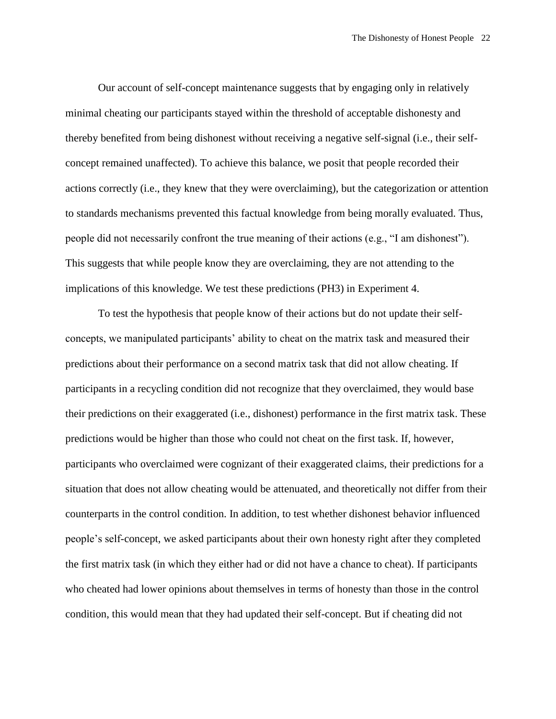Our account of self-concept maintenance suggests that by engaging only in relatively minimal cheating our participants stayed within the threshold of acceptable dishonesty and thereby benefited from being dishonest without receiving a negative self-signal (i.e., their selfconcept remained unaffected). To achieve this balance, we posit that people recorded their actions correctly (i.e., they knew that they were overclaiming), but the categorization or attention to standards mechanisms prevented this factual knowledge from being morally evaluated. Thus, people did not necessarily confront the true meaning of their actions (e.g., "I am dishonest"). This suggests that while people know they are overclaiming, they are not attending to the implications of this knowledge. We test these predictions (PH3) in Experiment 4.

To test the hypothesis that people know of their actions but do not update their selfconcepts, we manipulated participants' ability to cheat on the matrix task and measured their predictions about their performance on a second matrix task that did not allow cheating. If participants in a recycling condition did not recognize that they overclaimed, they would base their predictions on their exaggerated (i.e., dishonest) performance in the first matrix task. These predictions would be higher than those who could not cheat on the first task. If, however, participants who overclaimed were cognizant of their exaggerated claims, their predictions for a situation that does not allow cheating would be attenuated, and theoretically not differ from their counterparts in the control condition. In addition, to test whether dishonest behavior influenced people's self-concept, we asked participants about their own honesty right after they completed the first matrix task (in which they either had or did not have a chance to cheat). If participants who cheated had lower opinions about themselves in terms of honesty than those in the control condition, this would mean that they had updated their self-concept. But if cheating did not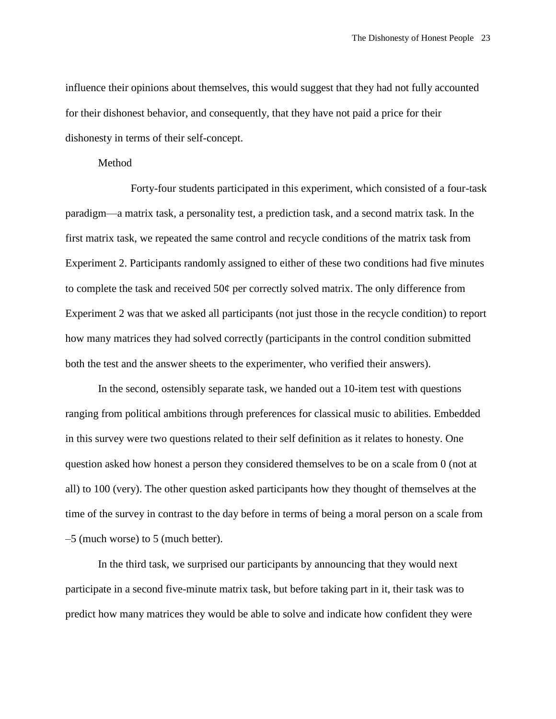influence their opinions about themselves, this would suggest that they had not fully accounted for their dishonest behavior, and consequently, that they have not paid a price for their dishonesty in terms of their self-concept.

#### Method

Forty-four students participated in this experiment, which consisted of a four-task paradigm—a matrix task, a personality test, a prediction task, and a second matrix task. In the first matrix task, we repeated the same control and recycle conditions of the matrix task from Experiment 2. Participants randomly assigned to either of these two conditions had five minutes to complete the task and received  $50¢$  per correctly solved matrix. The only difference from Experiment 2 was that we asked all participants (not just those in the recycle condition) to report how many matrices they had solved correctly (participants in the control condition submitted both the test and the answer sheets to the experimenter, who verified their answers).

In the second, ostensibly separate task, we handed out a 10-item test with questions ranging from political ambitions through preferences for classical music to abilities. Embedded in this survey were two questions related to their self definition as it relates to honesty. One question asked how honest a person they considered themselves to be on a scale from 0 (not at all) to 100 (very). The other question asked participants how they thought of themselves at the time of the survey in contrast to the day before in terms of being a moral person on a scale from –5 (much worse) to 5 (much better).

In the third task, we surprised our participants by announcing that they would next participate in a second five-minute matrix task, but before taking part in it, their task was to predict how many matrices they would be able to solve and indicate how confident they were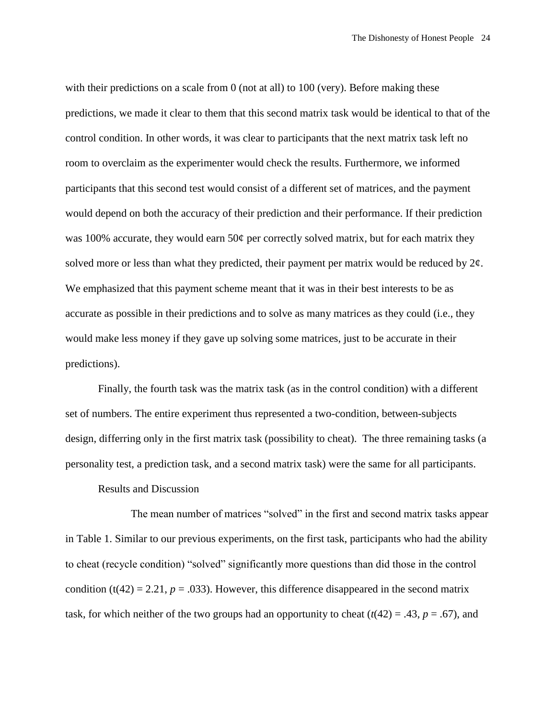with their predictions on a scale from 0 (not at all) to 100 (very). Before making these predictions, we made it clear to them that this second matrix task would be identical to that of the control condition. In other words, it was clear to participants that the next matrix task left no room to overclaim as the experimenter would check the results. Furthermore, we informed participants that this second test would consist of a different set of matrices, and the payment would depend on both the accuracy of their prediction and their performance. If their prediction was 100% accurate, they would earn  $50¢$  per correctly solved matrix, but for each matrix they solved more or less than what they predicted, their payment per matrix would be reduced by  $2\ell$ . We emphasized that this payment scheme meant that it was in their best interests to be as accurate as possible in their predictions and to solve as many matrices as they could (i.e., they would make less money if they gave up solving some matrices, just to be accurate in their predictions).

Finally, the fourth task was the matrix task (as in the control condition) with a different set of numbers. The entire experiment thus represented a two-condition, between-subjects design, differring only in the first matrix task (possibility to cheat). The three remaining tasks (a personality test, a prediction task, and a second matrix task) were the same for all participants.

#### Results and Discussion

The mean number of matrices "solved" in the first and second matrix tasks appear in Table 1. Similar to our previous experiments, on the first task, participants who had the ability to cheat (recycle condition) "solved" significantly more questions than did those in the control condition (t(42) = 2.21,  $p = .033$ ). However, this difference disappeared in the second matrix task, for which neither of the two groups had an opportunity to cheat  $(t(42) = .43, p = .67)$ , and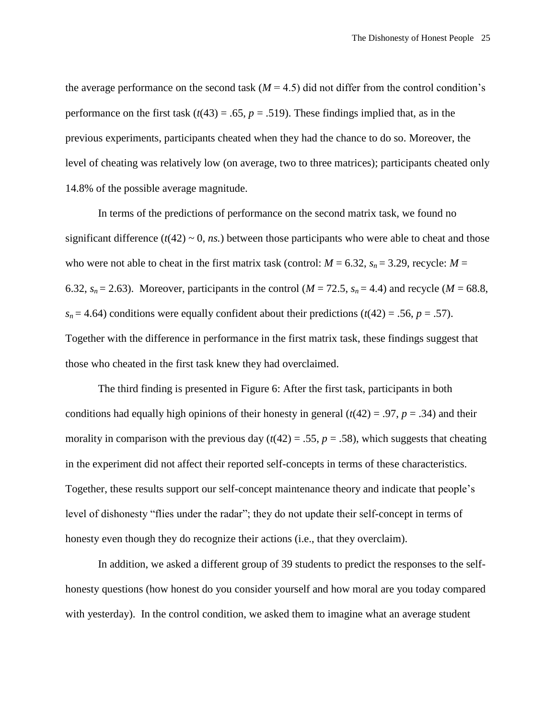the average performance on the second task  $(M = 4.5)$  did not differ from the control condition's performance on the first task  $(t(43) = .65, p = .519)$ . These findings implied that, as in the previous experiments, participants cheated when they had the chance to do so. Moreover, the level of cheating was relatively low (on average, two to three matrices); participants cheated only 14.8% of the possible average magnitude.

In terms of the predictions of performance on the second matrix task, we found no significant difference  $(t(42) \sim 0$ , *ns.*) between those participants who were able to cheat and those who were not able to cheat in the first matrix task (control:  $M = 6.32$ ,  $s_n = 3.29$ , recycle:  $M =$ 6.32,  $s_n = 2.63$ ). Moreover, participants in the control ( $M = 72.5$ ,  $s_n = 4.4$ ) and recycle ( $M = 68.8$ ),  $s_n = 4.64$ ) conditions were equally confident about their predictions ( $t(42) = .56$ ,  $p = .57$ ). Together with the difference in performance in the first matrix task, these findings suggest that those who cheated in the first task knew they had overclaimed.

The third finding is presented in Figure 6: After the first task, participants in both conditions had equally high opinions of their honesty in general  $(t(42) = .97, p = .34)$  and their morality in comparison with the previous day  $(t(42) = .55, p = .58)$ , which suggests that cheating in the experiment did not affect their reported self-concepts in terms of these characteristics. Together, these results support our self-concept maintenance theory and indicate that people's level of dishonesty "flies under the radar"; they do not update their self-concept in terms of honesty even though they do recognize their actions (i.e., that they overclaim).

In addition, we asked a different group of 39 students to predict the responses to the selfhonesty questions (how honest do you consider yourself and how moral are you today compared with yesterday). In the control condition, we asked them to imagine what an average student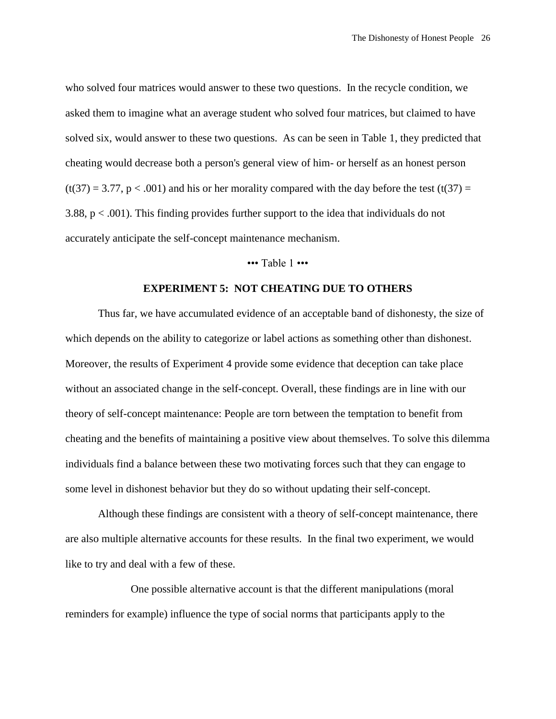who solved four matrices would answer to these two questions. In the recycle condition, we asked them to imagine what an average student who solved four matrices, but claimed to have solved six, would answer to these two questions. As can be seen in Table 1, they predicted that cheating would decrease both a person's general view of him- or herself as an honest person  $(t(37) = 3.77, p < .001)$  and his or her morality compared with the day before the test  $(t(37) =$ 3.88, p < .001). This finding provides further support to the idea that individuals do not accurately anticipate the self-concept maintenance mechanism.

#### ••• Table 1 •••

#### **EXPERIMENT 5: NOT CHEATING DUE TO OTHERS**

Thus far, we have accumulated evidence of an acceptable band of dishonesty, the size of which depends on the ability to categorize or label actions as something other than dishonest. Moreover, the results of Experiment 4 provide some evidence that deception can take place without an associated change in the self-concept. Overall, these findings are in line with our theory of self-concept maintenance: People are torn between the temptation to benefit from cheating and the benefits of maintaining a positive view about themselves. To solve this dilemma individuals find a balance between these two motivating forces such that they can engage to some level in dishonest behavior but they do so without updating their self-concept.

Although these findings are consistent with a theory of self-concept maintenance, there are also multiple alternative accounts for these results. In the final two experiment, we would like to try and deal with a few of these.

One possible alternative account is that the different manipulations (moral reminders for example) influence the type of social norms that participants apply to the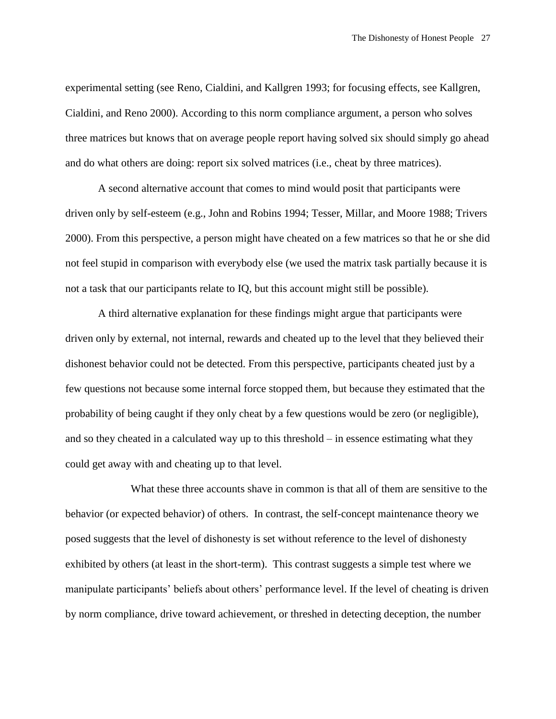experimental setting (see Reno, Cialdini, and Kallgren 1993; for focusing effects, see Kallgren, Cialdini, and Reno 2000). According to this norm compliance argument, a person who solves three matrices but knows that on average people report having solved six should simply go ahead and do what others are doing: report six solved matrices (i.e., cheat by three matrices).

A second alternative account that comes to mind would posit that participants were driven only by self-esteem (e.g., John and Robins 1994; Tesser, Millar, and Moore 1988; Trivers 2000). From this perspective, a person might have cheated on a few matrices so that he or she did not feel stupid in comparison with everybody else (we used the matrix task partially because it is not a task that our participants relate to IQ, but this account might still be possible).

A third alternative explanation for these findings might argue that participants were driven only by external, not internal, rewards and cheated up to the level that they believed their dishonest behavior could not be detected. From this perspective, participants cheated just by a few questions not because some internal force stopped them, but because they estimated that the probability of being caught if they only cheat by a few questions would be zero (or negligible), and so they cheated in a calculated way up to this threshold – in essence estimating what they could get away with and cheating up to that level.

What these three accounts shave in common is that all of them are sensitive to the behavior (or expected behavior) of others. In contrast, the self-concept maintenance theory we posed suggests that the level of dishonesty is set without reference to the level of dishonesty exhibited by others (at least in the short-term). This contrast suggests a simple test where we manipulate participants' beliefs about others' performance level. If the level of cheating is driven by norm compliance, drive toward achievement, or threshed in detecting deception, the number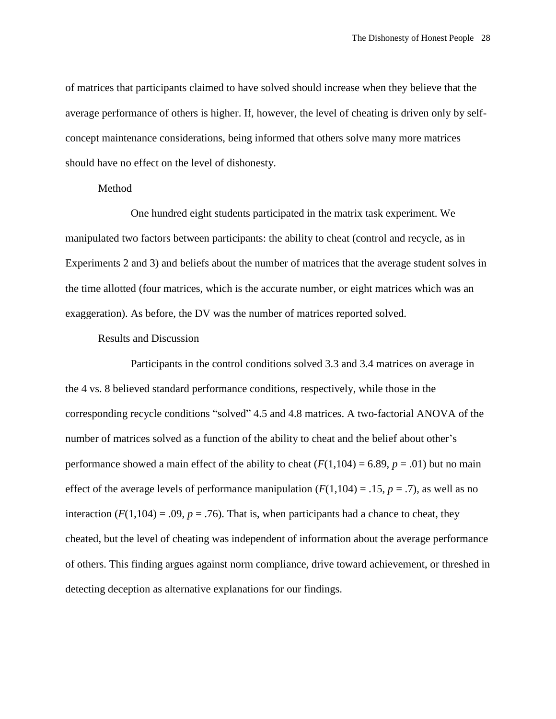of matrices that participants claimed to have solved should increase when they believe that the average performance of others is higher. If, however, the level of cheating is driven only by selfconcept maintenance considerations, being informed that others solve many more matrices should have no effect on the level of dishonesty.

#### Method

One hundred eight students participated in the matrix task experiment. We manipulated two factors between participants: the ability to cheat (control and recycle, as in Experiments 2 and 3) and beliefs about the number of matrices that the average student solves in the time allotted (four matrices, which is the accurate number, or eight matrices which was an exaggeration). As before, the DV was the number of matrices reported solved.

#### Results and Discussion

Participants in the control conditions solved 3.3 and 3.4 matrices on average in the 4 vs. 8 believed standard performance conditions, respectively, while those in the corresponding recycle conditions "solved" 4.5 and 4.8 matrices. A two-factorial ANOVA of the number of matrices solved as a function of the ability to cheat and the belief about other's performance showed a main effect of the ability to cheat  $(F(1,104) = 6.89, p = .01)$  but no main effect of the average levels of performance manipulation  $(F(1,104) = .15, p = .7)$ , as well as no interaction  $(F(1,104) = .09, p = .76)$ . That is, when participants had a chance to cheat, they cheated, but the level of cheating was independent of information about the average performance of others. This finding argues against norm compliance, drive toward achievement, or threshed in detecting deception as alternative explanations for our findings.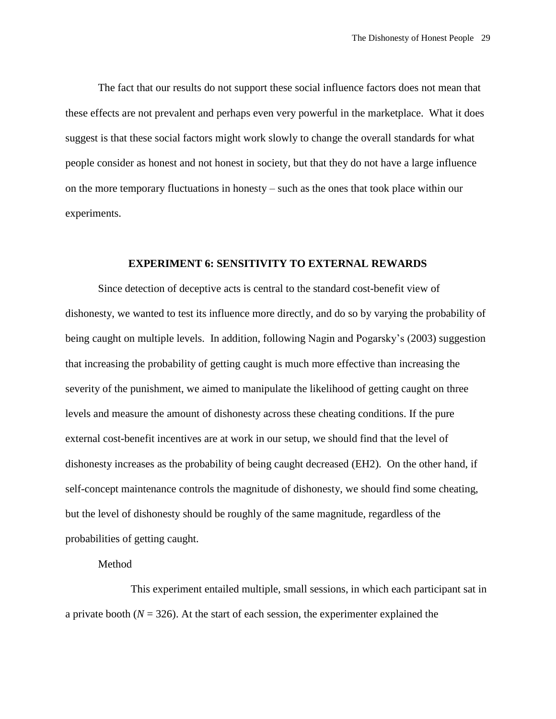The fact that our results do not support these social influence factors does not mean that these effects are not prevalent and perhaps even very powerful in the marketplace. What it does suggest is that these social factors might work slowly to change the overall standards for what people consider as honest and not honest in society, but that they do not have a large influence on the more temporary fluctuations in honesty – such as the ones that took place within our experiments.

#### **EXPERIMENT 6: SENSITIVITY TO EXTERNAL REWARDS**

Since detection of deceptive acts is central to the standard cost-benefit view of dishonesty, we wanted to test its influence more directly, and do so by varying the probability of being caught on multiple levels. In addition, following Nagin and Pogarsky's (2003) suggestion that increasing the probability of getting caught is much more effective than increasing the severity of the punishment, we aimed to manipulate the likelihood of getting caught on three levels and measure the amount of dishonesty across these cheating conditions. If the pure external cost-benefit incentives are at work in our setup, we should find that the level of dishonesty increases as the probability of being caught decreased (EH2). On the other hand, if self-concept maintenance controls the magnitude of dishonesty, we should find some cheating, but the level of dishonesty should be roughly of the same magnitude, regardless of the probabilities of getting caught.

#### Method

This experiment entailed multiple, small sessions, in which each participant sat in a private booth  $(N = 326)$ . At the start of each session, the experimenter explained the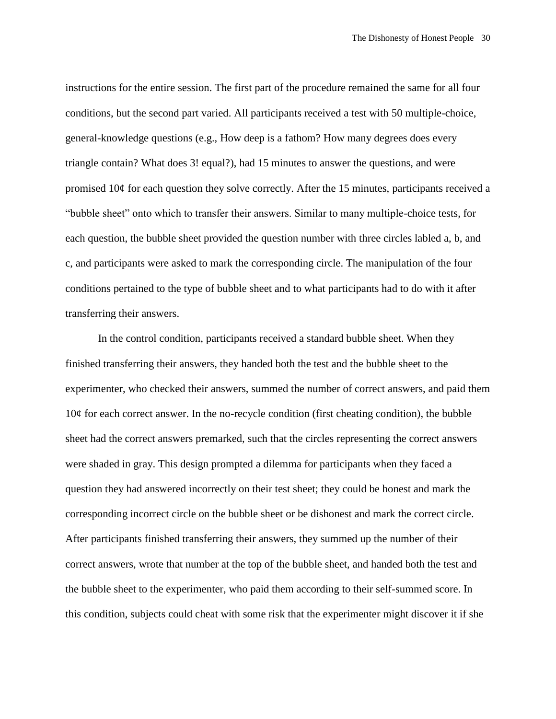instructions for the entire session. The first part of the procedure remained the same for all four conditions, but the second part varied. All participants received a test with 50 multiple-choice, general-knowledge questions (e.g., How deep is a fathom? How many degrees does every triangle contain? What does 3! equal?), had 15 minutes to answer the questions, and were promised 10¢ for each question they solve correctly. After the 15 minutes, participants received a ―bubble sheet‖ onto which to transfer their answers. Similar to many multiple-choice tests, for each question, the bubble sheet provided the question number with three circles labled a, b, and c, and participants were asked to mark the corresponding circle. The manipulation of the four conditions pertained to the type of bubble sheet and to what participants had to do with it after transferring their answers.

In the control condition, participants received a standard bubble sheet. When they finished transferring their answers, they handed both the test and the bubble sheet to the experimenter, who checked their answers, summed the number of correct answers, and paid them  $10¢$  for each correct answer. In the no-recycle condition (first cheating condition), the bubble sheet had the correct answers premarked, such that the circles representing the correct answers were shaded in gray. This design prompted a dilemma for participants when they faced a question they had answered incorrectly on their test sheet; they could be honest and mark the corresponding incorrect circle on the bubble sheet or be dishonest and mark the correct circle. After participants finished transferring their answers, they summed up the number of their correct answers, wrote that number at the top of the bubble sheet, and handed both the test and the bubble sheet to the experimenter, who paid them according to their self-summed score. In this condition, subjects could cheat with some risk that the experimenter might discover it if she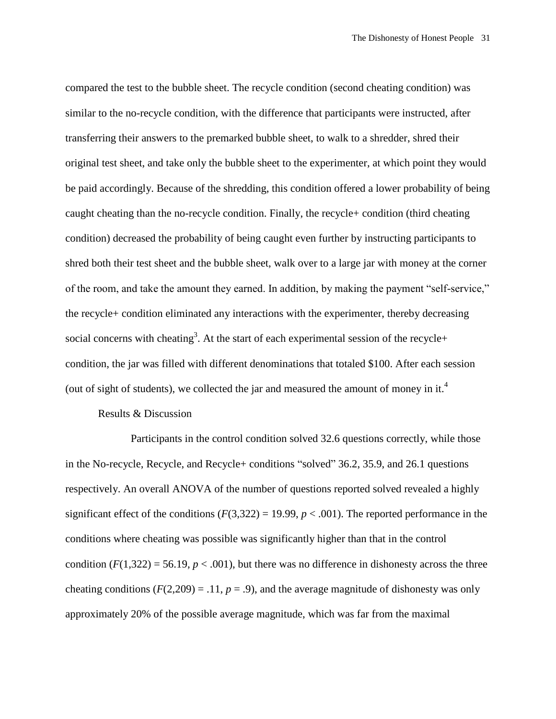compared the test to the bubble sheet. The recycle condition (second cheating condition) was similar to the no-recycle condition, with the difference that participants were instructed, after transferring their answers to the premarked bubble sheet, to walk to a shredder, shred their original test sheet, and take only the bubble sheet to the experimenter, at which point they would be paid accordingly. Because of the shredding, this condition offered a lower probability of being caught cheating than the no-recycle condition. Finally, the recycle+ condition (third cheating condition) decreased the probability of being caught even further by instructing participants to shred both their test sheet and the bubble sheet, walk over to a large jar with money at the corner of the room, and take the amount they earned. In addition, by making the payment "self-service," the recycle+ condition eliminated any interactions with the experimenter, thereby decreasing social concerns with cheating<sup>3</sup>. At the start of each experimental session of the recycle+ condition, the jar was filled with different denominations that totaled \$100. After each session (out of sight of students), we collected the jar and measured the amount of money in it.<sup>4</sup>

#### Results & Discussion

Participants in the control condition solved 32.6 questions correctly, while those in the No-recycle, Recycle, and Recycle+ conditions "solved"  $36.2$ ,  $35.9$ , and  $26.1$  questions respectively. An overall ANOVA of the number of questions reported solved revealed a highly significant effect of the conditions  $(F(3,322) = 19.99, p < .001)$ . The reported performance in the conditions where cheating was possible was significantly higher than that in the control condition  $(F(1,322) = 56.19, p < .001)$ , but there was no difference in dishonesty across the three cheating conditions  $(F(2,209) = .11, p = .9)$ , and the average magnitude of dishonesty was only approximately 20% of the possible average magnitude, which was far from the maximal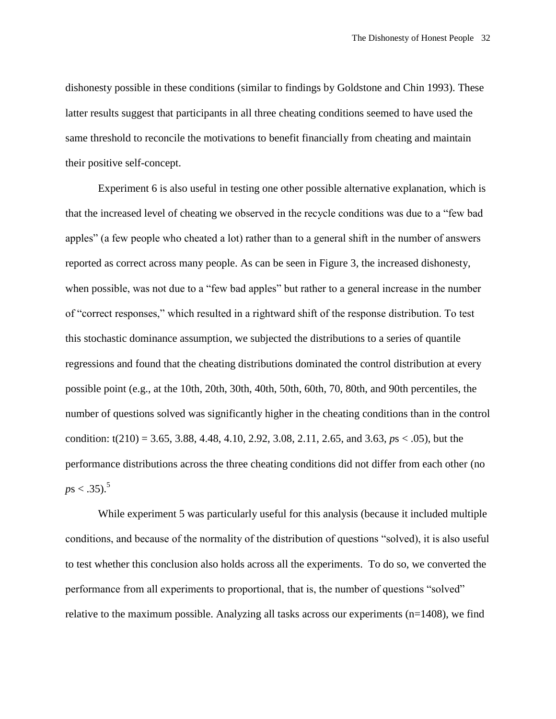dishonesty possible in these conditions (similar to findings by Goldstone and Chin 1993). These latter results suggest that participants in all three cheating conditions seemed to have used the same threshold to reconcile the motivations to benefit financially from cheating and maintain their positive self-concept.

Experiment 6 is also useful in testing one other possible alternative explanation, which is that the increased level of cheating we observed in the recycle conditions was due to a "few bad" apples" (a few people who cheated a lot) rather than to a general shift in the number of answers reported as correct across many people. As can be seen in Figure 3, the increased dishonesty, when possible, was not due to a "few bad apples" but rather to a general increase in the number of "correct responses," which resulted in a rightward shift of the response distribution. To test this stochastic dominance assumption, we subjected the distributions to a series of quantile regressions and found that the cheating distributions dominated the control distribution at every possible point (e.g., at the 10th, 20th, 30th, 40th, 50th, 60th, 70, 80th, and 90th percentiles, the number of questions solved was significantly higher in the cheating conditions than in the control condition: t(210) = 3.65, 3.88, 4.48, 4.10, 2.92, 3.08, 2.11, 2.65, and 3.63, *p*s < .05), but the performance distributions across the three cheating conditions did not differ from each other (no  $p_s < .35$ ).<sup>5</sup>

While experiment 5 was particularly useful for this analysis (because it included multiple conditions, and because of the normality of the distribution of questions "solved), it is also useful to test whether this conclusion also holds across all the experiments. To do so, we converted the performance from all experiments to proportional, that is, the number of questions "solved" relative to the maximum possible. Analyzing all tasks across our experiments (n=1408), we find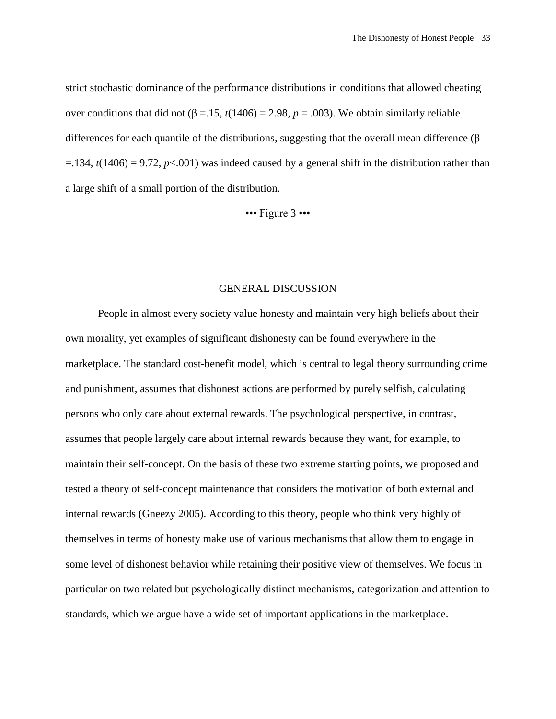strict stochastic dominance of the performance distributions in conditions that allowed cheating over conditions that did not (β = 15,  $t(1406) = 2.98$ ,  $p = .003$ ). We obtain similarly reliable differences for each quantile of the distributions, suggesting that the overall mean difference (β  $=$ .134,  $t(1406) = 9.72$ ,  $p < .001$ ) was indeed caused by a general shift in the distribution rather than a large shift of a small portion of the distribution.

#### ••• Figure 3 •••

#### GENERAL DISCUSSION

People in almost every society value honesty and maintain very high beliefs about their own morality, yet examples of significant dishonesty can be found everywhere in the marketplace. The standard cost-benefit model, which is central to legal theory surrounding crime and punishment, assumes that dishonest actions are performed by purely selfish, calculating persons who only care about external rewards. The psychological perspective, in contrast, assumes that people largely care about internal rewards because they want, for example, to maintain their self-concept. On the basis of these two extreme starting points, we proposed and tested a theory of self-concept maintenance that considers the motivation of both external and internal rewards (Gneezy 2005). According to this theory, people who think very highly of themselves in terms of honesty make use of various mechanisms that allow them to engage in some level of dishonest behavior while retaining their positive view of themselves. We focus in particular on two related but psychologically distinct mechanisms, categorization and attention to standards, which we argue have a wide set of important applications in the marketplace.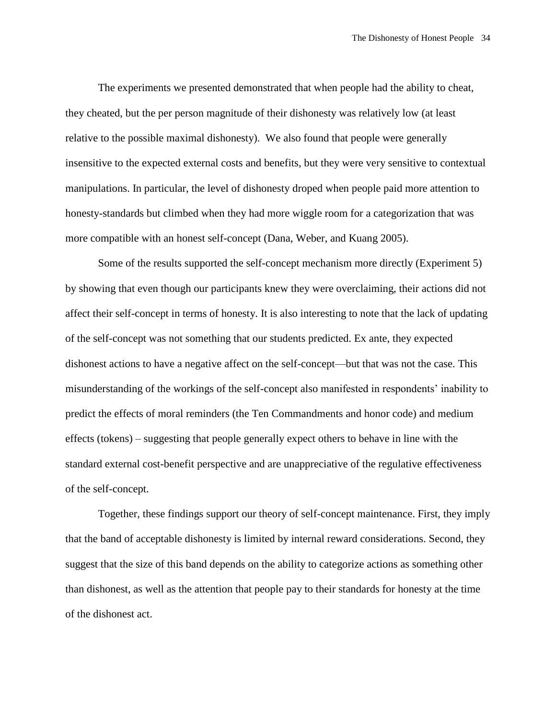The experiments we presented demonstrated that when people had the ability to cheat, they cheated, but the per person magnitude of their dishonesty was relatively low (at least relative to the possible maximal dishonesty). We also found that people were generally insensitive to the expected external costs and benefits, but they were very sensitive to contextual manipulations. In particular, the level of dishonesty droped when people paid more attention to honesty-standards but climbed when they had more wiggle room for a categorization that was more compatible with an honest self-concept (Dana, Weber, and Kuang 2005).

Some of the results supported the self-concept mechanism more directly (Experiment 5) by showing that even though our participants knew they were overclaiming, their actions did not affect their self-concept in terms of honesty. It is also interesting to note that the lack of updating of the self-concept was not something that our students predicted. Ex ante, they expected dishonest actions to have a negative affect on the self-concept—but that was not the case. This misunderstanding of the workings of the self-concept also manifested in respondents' inability to predict the effects of moral reminders (the Ten Commandments and honor code) and medium effects (tokens) – suggesting that people generally expect others to behave in line with the standard external cost-benefit perspective and are unappreciative of the regulative effectiveness of the self-concept.

Together, these findings support our theory of self-concept maintenance. First, they imply that the band of acceptable dishonesty is limited by internal reward considerations. Second, they suggest that the size of this band depends on the ability to categorize actions as something other than dishonest, as well as the attention that people pay to their standards for honesty at the time of the dishonest act.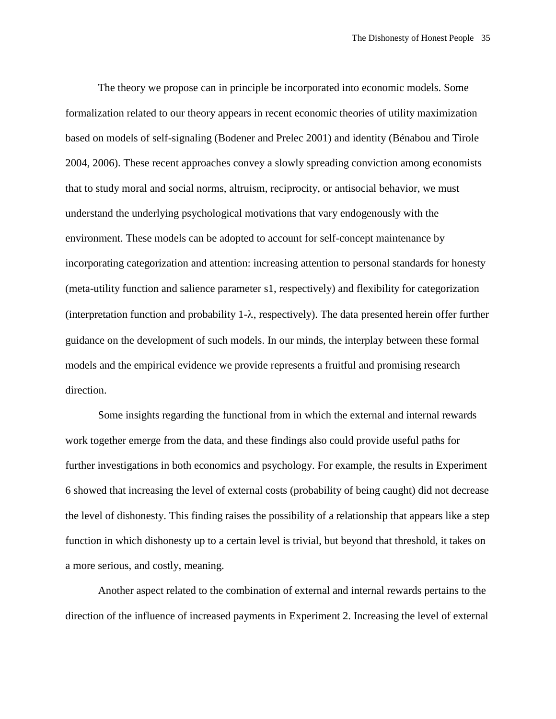The theory we propose can in principle be incorporated into economic models. Some formalization related to our theory appears in recent economic theories of utility maximization based on models of self-signaling (Bodener and Prelec 2001) and identity (Bénabou and Tirole 2004, 2006). These recent approaches convey a slowly spreading conviction among economists that to study moral and social norms, altruism, reciprocity, or antisocial behavior, we must understand the underlying psychological motivations that vary endogenously with the environment. These models can be adopted to account for self-concept maintenance by incorporating categorization and attention: increasing attention to personal standards for honesty (meta-utility function and salience parameter s1, respectively) and flexibility for categorization (interpretation function and probability 1- $\lambda$ , respectively). The data presented herein offer further guidance on the development of such models. In our minds, the interplay between these formal models and the empirical evidence we provide represents a fruitful and promising research direction.

Some insights regarding the functional from in which the external and internal rewards work together emerge from the data, and these findings also could provide useful paths for further investigations in both economics and psychology. For example, the results in Experiment 6 showed that increasing the level of external costs (probability of being caught) did not decrease the level of dishonesty. This finding raises the possibility of a relationship that appears like a step function in which dishonesty up to a certain level is trivial, but beyond that threshold, it takes on a more serious, and costly, meaning.

Another aspect related to the combination of external and internal rewards pertains to the direction of the influence of increased payments in Experiment 2. Increasing the level of external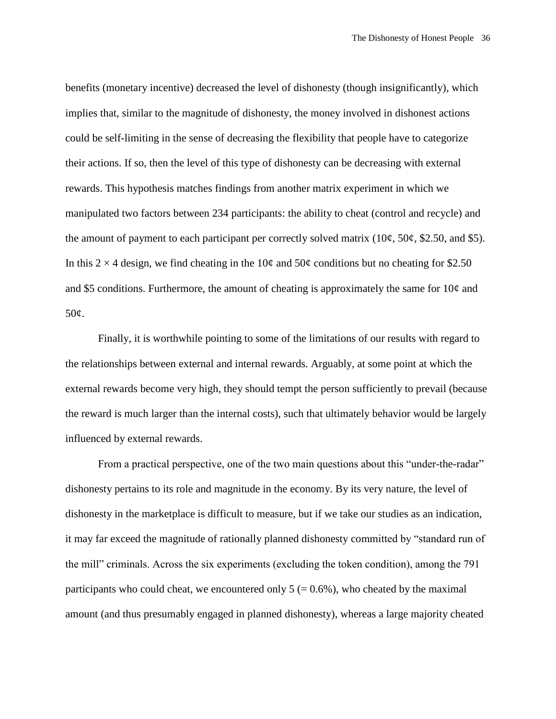benefits (monetary incentive) decreased the level of dishonesty (though insignificantly), which implies that, similar to the magnitude of dishonesty, the money involved in dishonest actions could be self-limiting in the sense of decreasing the flexibility that people have to categorize their actions. If so, then the level of this type of dishonesty can be decreasing with external rewards. This hypothesis matches findings from another matrix experiment in which we manipulated two factors between 234 participants: the ability to cheat (control and recycle) and the amount of payment to each participant per correctly solved matrix  $(10¢, 50¢, $2.50, and $5)$ . In this 2  $\times$  4 design, we find cheating in the 10¢ and 50¢ conditions but no cheating for \$2.50 and \$5 conditions. Furthermore, the amount of cheating is approximately the same for  $10¢$  and 50¢.

Finally, it is worthwhile pointing to some of the limitations of our results with regard to the relationships between external and internal rewards. Arguably, at some point at which the external rewards become very high, they should tempt the person sufficiently to prevail (because the reward is much larger than the internal costs), such that ultimately behavior would be largely influenced by external rewards.

From a practical perspective, one of the two main questions about this "under-the-radar" dishonesty pertains to its role and magnitude in the economy. By its very nature, the level of dishonesty in the marketplace is difficult to measure, but if we take our studies as an indication, it may far exceed the magnitude of rationally planned dishonesty committed by "standard run of the mill" criminals. Across the six experiments (excluding the token condition), among the 791 participants who could cheat, we encountered only  $5 (= 0.6\%)$ , who cheated by the maximal amount (and thus presumably engaged in planned dishonesty), whereas a large majority cheated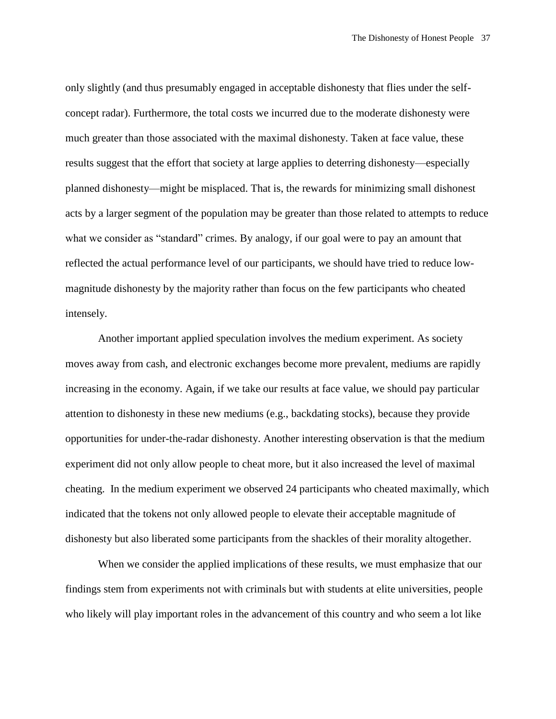only slightly (and thus presumably engaged in acceptable dishonesty that flies under the selfconcept radar). Furthermore, the total costs we incurred due to the moderate dishonesty were much greater than those associated with the maximal dishonesty. Taken at face value, these results suggest that the effort that society at large applies to deterring dishonesty—especially planned dishonesty—might be misplaced. That is, the rewards for minimizing small dishonest acts by a larger segment of the population may be greater than those related to attempts to reduce what we consider as "standard" crimes. By analogy, if our goal were to pay an amount that reflected the actual performance level of our participants, we should have tried to reduce lowmagnitude dishonesty by the majority rather than focus on the few participants who cheated intensely.

Another important applied speculation involves the medium experiment. As society moves away from cash, and electronic exchanges become more prevalent, mediums are rapidly increasing in the economy. Again, if we take our results at face value, we should pay particular attention to dishonesty in these new mediums (e.g., backdating stocks), because they provide opportunities for under-the-radar dishonesty. Another interesting observation is that the medium experiment did not only allow people to cheat more, but it also increased the level of maximal cheating. In the medium experiment we observed 24 participants who cheated maximally, which indicated that the tokens not only allowed people to elevate their acceptable magnitude of dishonesty but also liberated some participants from the shackles of their morality altogether.

When we consider the applied implications of these results, we must emphasize that our findings stem from experiments not with criminals but with students at elite universities, people who likely will play important roles in the advancement of this country and who seem a lot like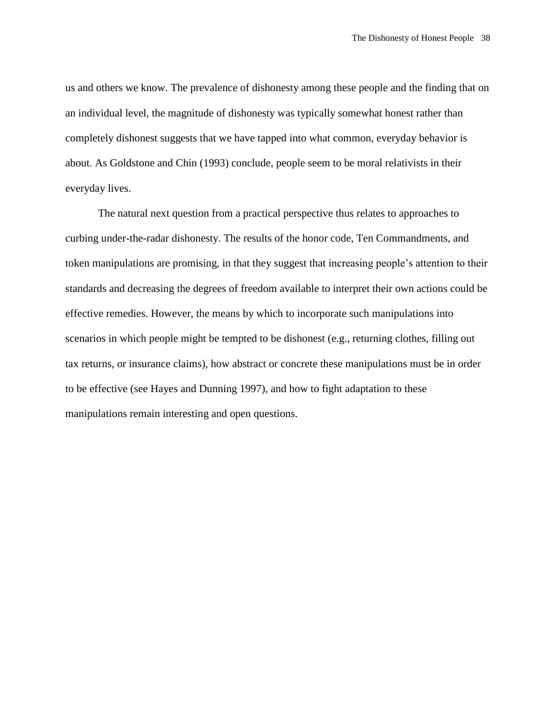us and others we know. The prevalence of dishonesty among these people and the finding that on an individual level, the magnitude of dishonesty was typically somewhat honest rather than completely dishonest suggests that we have tapped into what common, everyday behavior is about. As Goldstone and Chin (1993) conclude, people seem to be moral relativists in their everyday lives.

The natural next question from a practical perspective thus relates to approaches to curbing under-the-radar dishonesty. The results of the honor code, Ten Commandments, and token manipulations are promising, in that they suggest that increasing people's attention to their standards and decreasing the degrees of freedom available to interpret their own actions could be effective remedies. However, the means by which to incorporate such manipulations into scenarios in which people might be tempted to be dishonest (e.g., returning clothes, filling out tax returns, or insurance claims), how abstract or concrete these manipulations must be in order to be effective (see Hayes and Dunning 1997), and how to fight adaptation to these manipulations remain interesting and open questions.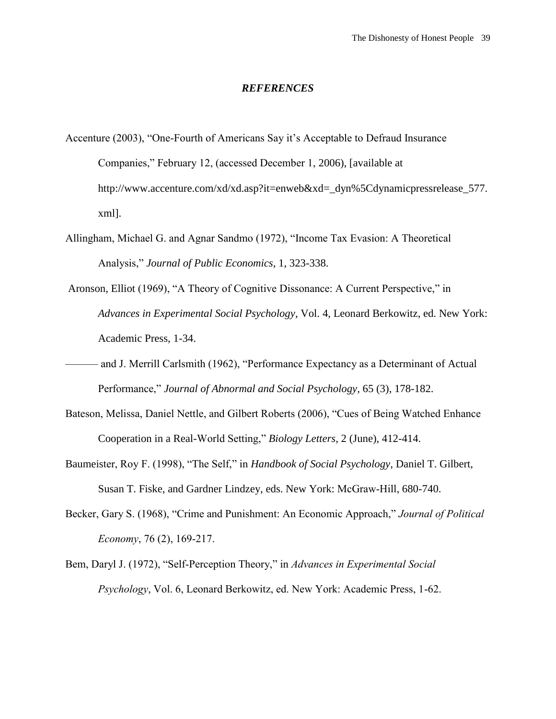#### *REFERENCES*

- Accenture (2003), "One-Fourth of Americans Say it's Acceptable to Defraud Insurance Companies," February 12, (accessed December 1, 2006), [available at http://www.accenture.com/xd/xd.asp?it=enweb&xd=\_dyn%5Cdynamicpressrelease\_577. xml].
- Allingham, Michael G. and Agnar Sandmo (1972), "Income Tax Evasion: A Theoretical Analysis,‖ *Journal of Public Economics*, 1, 323-338.
- Aronson, Elliot (1969), "A Theory of Cognitive Dissonance: A Current Perspective," in *Advances in Experimental Social Psychology*, Vol. 4, Leonard Berkowitz, ed. New York: Academic Press, 1-34.
- and J. Merrill Carlsmith (1962), "Performance Expectancy as a Determinant of Actual Performance," *Journal of Abnormal and Social Psychology*, 65 (3), 178-182.
- Bateson, Melissa, Daniel Nettle, and Gilbert Roberts (2006), "Cues of Being Watched Enhance Cooperation in a Real-World Setting," *Biology Letters*, 2 (June), 412-414.
- Baumeister, Roy F. (1998), "The Self," in *Handbook of Social Psychology*, Daniel T. Gilbert, Susan T. Fiske, and Gardner Lindzey, eds. New York: McGraw-Hill, 680-740.
- Becker, Gary S. (1968), "Crime and Punishment: An Economic Approach," *Journal of Political Economy*, 76 (2), 169-217.
- Bem, Daryl J. (1972), "Self-Perception Theory," in *Advances in Experimental Social Psychology*, Vol. 6, Leonard Berkowitz, ed. New York: Academic Press, 1-62.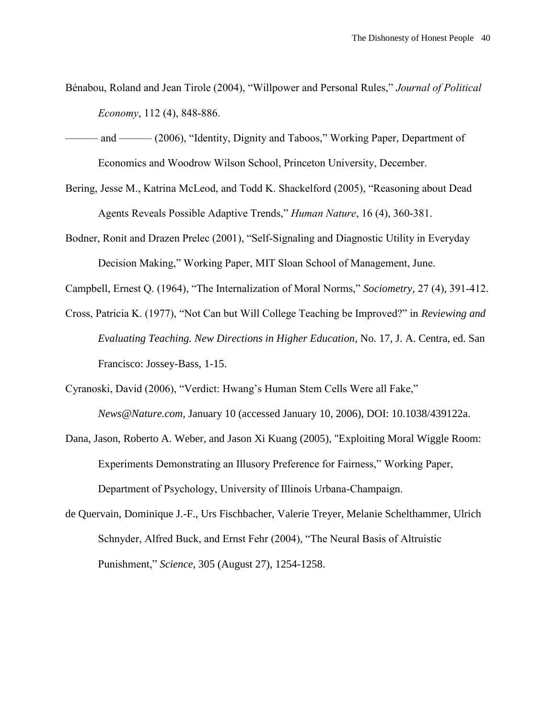- Bénabou, Roland and Jean Tirole (2004), "Willpower and Personal Rules," *Journal of Political Economy*, 112 (4), 848-886.
- and ——— (2006), "Identity, Dignity and Taboos," Working Paper, Department of Economics and Woodrow Wilson School, Princeton University, December.
- Bering, Jesse M., Katrina McLeod, and Todd K. Shackelford (2005), "Reasoning about Dead Agents Reveals Possible Adaptive Trends," *Human Nature*, 16 (4), 360-381.
- Bodner, Ronit and Drazen Prelec (2001), "Self-Signaling and Diagnostic Utility in Everyday Decision Making," Working Paper, MIT Sloan School of Management, June.

Campbell, Ernest Q. (1964), "The Internalization of Moral Norms," *Sociometry*, 27 (4), 391-412.

- Cross, Patricia K. (1977), "Not Can but Will College Teaching be Improved?" in *Reviewing and Evaluating Teaching. New Directions in Higher Education*, No. 17, J. A. Centra, ed. San Francisco: Jossey-Bass, 1-15.
- Cyranoski, David (2006), "Verdict: Hwang's Human Stem Cells Were all Fake," *News@Nature.com,* January 10 (accessed January 10, 2006), DOI: 10.1038/439122a.
- Dana, Jason, Roberto A. Weber, and Jason Xi Kuang (2005), "Exploiting Moral Wiggle Room: Experiments Demonstrating an Illusory Preference for Fairness," Working Paper, Department of Psychology, University of Illinois Urbana-Champaign.
- de Quervain, Dominique J.-F., Urs Fischbacher, Valerie Treyer, Melanie Schelthammer, Ulrich Schnyder, Alfred Buck, and Ernst Fehr (2004), "The Neural Basis of Altruistic Punishment,‖ *Science*, 305 (August 27), 1254-1258.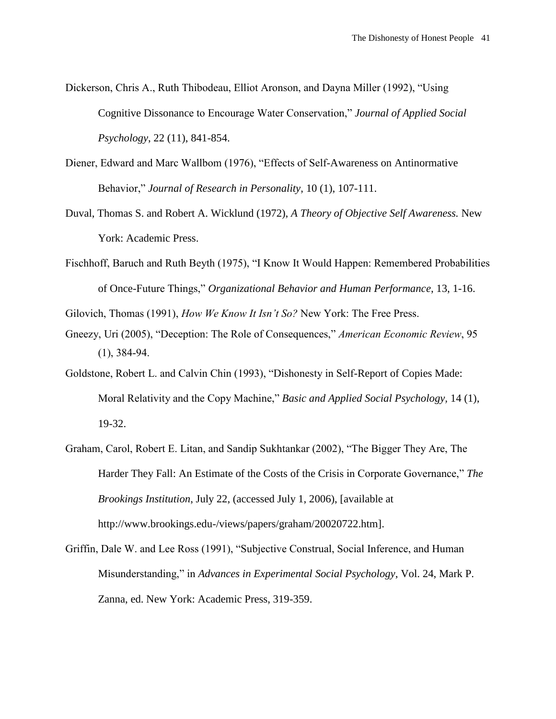Dickerson, Chris A., Ruth Thibodeau, Elliot Aronson, and Dayna Miller (1992), "Using Cognitive Dissonance to Encourage Water Conservation," *Journal of Applied Social Psychology*, 22 (11), 841-854.

- Diener, Edward and Marc Wallbom (1976), "Effects of Self-Awareness on Antinormative Behavior," *Journal of Research in Personality*, 10(1), 107-111.
- Duval, Thomas S. and Robert A. Wicklund (1972), *A Theory of Objective Self Awareness.* New York: Academic Press.
- Fischhoff, Baruch and Ruth Beyth (1975), "I Know It Would Happen: Remembered Probabilities of Once-Future Things,‖ *Organizational Behavior and Human Performance*, 13, 1-16.

Gilovich, Thomas (1991), *How We Know It Isn't So?* New York: The Free Press.

- Gneezy, Uri (2005), "Deception: The Role of Consequences," *American Economic Review*, 95 (1), 384-94.
- Goldstone, Robert L. and Calvin Chin (1993), "Dishonesty in Self-Report of Copies Made: Moral Relativity and the Copy Machine," *Basic and Applied Social Psychology*, 14 (1), 19-32.
- Graham, Carol, Robert E. Litan, and Sandip Sukhtankar (2002), "The Bigger They Are, The Harder They Fall: An Estimate of the Costs of the Crisis in Corporate Governance," *The Brookings Institution*, July 22, (accessed July 1, 2006), [available at http://www.brookings.edu-/views/papers/graham/20020722.htm].
- Griffin, Dale W. and Lee Ross (1991), "Subjective Construal, Social Inference, and Human Misunderstanding," in *Advances in Experimental Social Psychology*, Vol. 24, Mark P. Zanna, ed. New York: Academic Press, 319-359.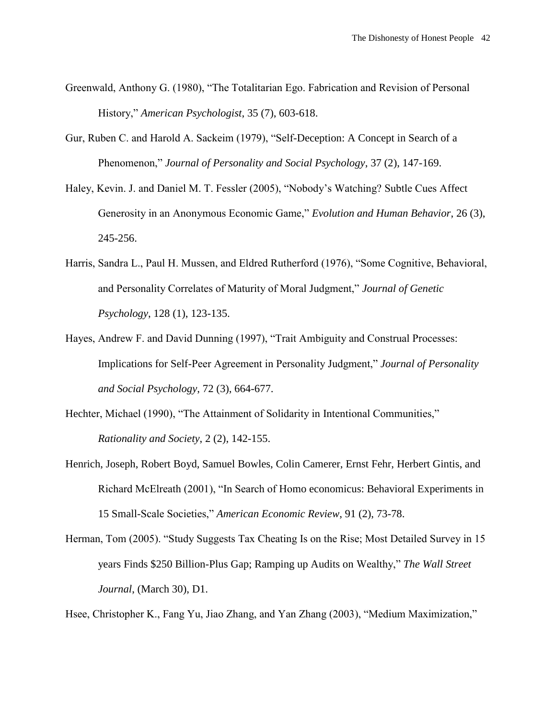- Greenwald, Anthony G. (1980), "The Totalitarian Ego. Fabrication and Revision of Personal History,‖ *American Psychologist*, 35 (7), 603-618.
- Gur, Ruben C. and Harold A. Sackeim (1979), "Self-Deception: A Concept in Search of a Phenomenon," *Journal of Personality and Social Psychology*, 37 (2), 147-169.
- Haley, Kevin. J. and Daniel M. T. Fessler (2005), "Nobody's Watching? Subtle Cues Affect Generosity in an Anonymous Economic Game," *Evolution and Human Behavior*, 26 (3), 245-256.
- Harris, Sandra L., Paul H. Mussen, and Eldred Rutherford (1976), "Some Cognitive, Behavioral, and Personality Correlates of Maturity of Moral Judgment," Journal of Genetic *Psychology*, 128 (1), 123-135.
- Hayes, Andrew F. and David Dunning (1997), "Trait Ambiguity and Construal Processes: Implications for Self-Peer Agreement in Personality Judgment," *Journal of Personality and Social Psychology*, 72 (3), 664-677.
- Hechter, Michael (1990), "The Attainment of Solidarity in Intentional Communities," *Rationality and Society*, 2 (2), 142-155.
- Henrich, Joseph, Robert Boyd, Samuel Bowles, Colin Camerer, Ernst Fehr, Herbert Gintis, and Richard McElreath (2001), "In Search of Homo economicus: Behavioral Experiments in 15 Small-Scale Societies,‖ *American Economic Review*, 91 (2), 73-78.
- Herman, Tom (2005). "Study Suggests Tax Cheating Is on the Rise; Most Detailed Survey in 15 years Finds \$250 Billion-Plus Gap; Ramping up Audits on Wealthy," The Wall Street *Journal*, (March 30), D1.

Hsee, Christopher K., Fang Yu, Jiao Zhang, and Yan Zhang (2003), "Medium Maximization,"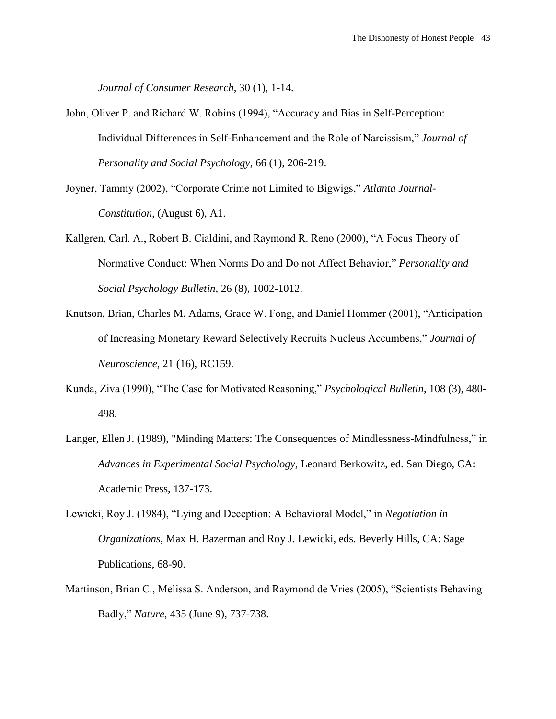*Journal of Consumer Research*, 30 (1), 1-14.

- John, Oliver P. and Richard W. Robins (1994), "Accuracy and Bias in Self-Perception: Individual Differences in Self-Enhancement and the Role of Narcissism," *Journal of Personality and Social Psychology*, 66 (1), 206-219.
- Joyner, Tammy (2002), "Corporate Crime not Limited to Bigwigs," *Atlanta Journal-Constitution*, (August 6), A1.
- Kallgren, Carl. A., Robert B. Cialdini, and Raymond R. Reno (2000), "A Focus Theory of Normative Conduct: When Norms Do and Do not Affect Behavior," *Personality and Social Psychology Bulletin*, 26 (8), 1002-1012.
- Knutson, Brian, Charles M. Adams, Grace W. Fong, and Daniel Hommer (2001), "Anticipation of Increasing Monetary Reward Selectively Recruits Nucleus Accumbens,‖ *Journal of Neuroscience*, 21 (16), RC159.
- Kunda, Ziva (1990), "The Case for Motivated Reasoning," *Psychological Bulletin*, 108 (3), 480-498.
- Langer, Ellen J. (1989), "Minding Matters: The Consequences of Mindlessness-Mindfulness," in *Advances in Experimental Social Psychology,* Leonard Berkowitz, ed. San Diego, CA: Academic Press, 137-173.
- Lewicki, Roy J. (1984), "Lying and Deception: A Behavioral Model," in *Negotiation in Organizations,* Max H. Bazerman and Roy J. Lewicki, eds. Beverly Hills, CA: Sage Publications, 68-90.
- Martinson, Brian C., Melissa S. Anderson, and Raymond de Vries (2005), "Scientists Behaving Badly,‖ *Nature*, 435 (June 9), 737-738.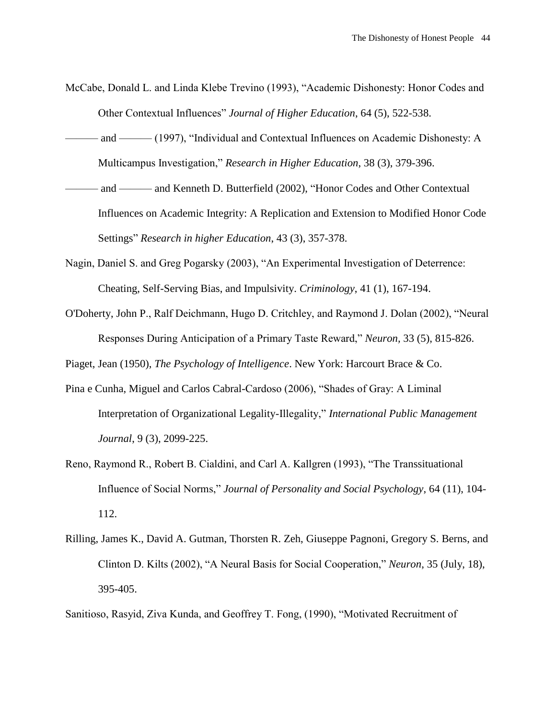- McCabe, Donald L. and Linda Klebe Trevino (1993), "Academic Dishonesty: Honor Codes and Other Contextual Influences" *Journal of Higher Education*, 64 (5), 522-538.
- and ——— (1997), "Individual and Contextual Influences on Academic Dishonesty: A Multicampus Investigation,‖ *Research in Higher Education*, 38 (3), 379-396.
- and ——— and Kenneth D. Butterfield (2002), "Honor Codes and Other Contextual Influences on Academic Integrity: A Replication and Extension to Modified Honor Code Settings" *Research in higher Education*, 43 (3), 357-378.
- Nagin, Daniel S. and Greg Pogarsky (2003), "An Experimental Investigation of Deterrence: Cheating, Self-Serving Bias, and Impulsivity. *Criminology*, 41 (1), 167-194.
- O'Doherty, John P., Ralf Deichmann, Hugo D. Critchley, and Raymond J. Dolan (2002), "Neural Responses During Anticipation of a Primary Taste Reward,‖ *Neuron,* 33 (5), 815-826.

Piaget, Jean (1950), *The Psychology of Intelligence*. New York: Harcourt Brace & Co.

- Pina e Cunha, Miguel and Carlos Cabral-Cardoso (2006), "Shades of Gray: A Liminal Interpretation of Organizational Legality-Illegality," *International Public Management Journal*, 9 (3), 2099-225.
- Reno, Raymond R., Robert B. Cialdini, and Carl A. Kallgren (1993), "The Transsituational Influence of Social Norms,‖ *Journal of Personality and Social Psychology*, 64 (11), 104- 112.
- Rilling, James K., David A. Gutman, Thorsten R. Zeh, Giuseppe Pagnoni, Gregory S. Berns, and Clinton D. Kilts (2002), "A Neural Basis for Social Cooperation," *Neuron*, 35 (July, 18), 395-405.

Sanitioso, Rasyid, Ziva Kunda, and Geoffrey T. Fong, (1990), "Motivated Recruitment of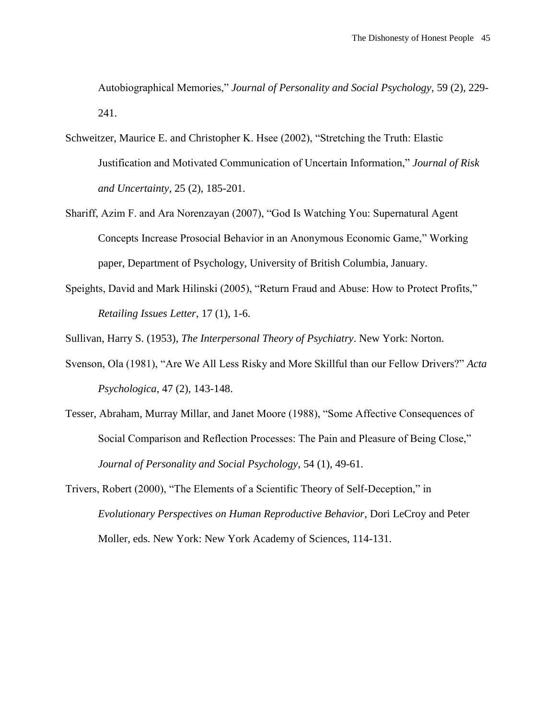Autobiographical Memories," *Journal of Personality and Social Psychology*, 59 (2), 229-241.

- Schweitzer, Maurice E. and Christopher K. Hsee (2002), "Stretching the Truth: Elastic Justification and Motivated Communication of Uncertain Information,‖ *Journal of Risk and Uncertainty,* 25 (2), 185-201.
- Shariff, Azim F. and Ara Norenzayan (2007), "God Is Watching You: Supernatural Agent Concepts Increase Prosocial Behavior in an Anonymous Economic Game," Working paper, Department of Psychology, University of British Columbia, January.
- Speights, David and Mark Hilinski (2005), "Return Fraud and Abuse: How to Protect Profits," *Retailing Issues Letter*, 17 (1), 1-6.

Sullivan, Harry S. (1953), *The Interpersonal Theory of Psychiatry*. New York: Norton.

- Svenson, Ola (1981), "Are We All Less Risky and More Skillful than our Fellow Drivers?" *Acta Psychologica*, 47 (2), 143-148.
- Tesser, Abraham, Murray Millar, and Janet Moore (1988), "Some Affective Consequences of Social Comparison and Reflection Processes: The Pain and Pleasure of Being Close," *Journal of Personality and Social Psychology*, 54 (1), 49-61.
- Trivers, Robert (2000), "The Elements of a Scientific Theory of Self-Deception," in *Evolutionary Perspectives on Human Reproductive Behavior,* Dori LeCroy and Peter Moller, eds. New York: New York Academy of Sciences, 114-131.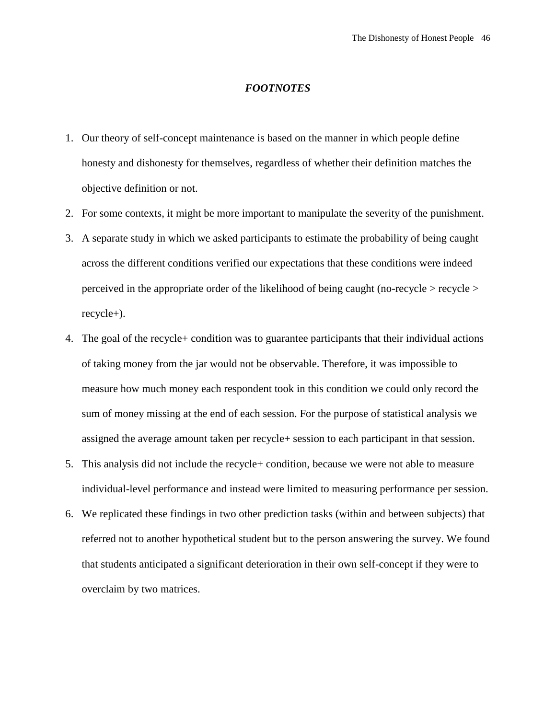#### *FOOTNOTES*

- 1. Our theory of self-concept maintenance is based on the manner in which people define honesty and dishonesty for themselves, regardless of whether their definition matches the objective definition or not.
- 2. For some contexts, it might be more important to manipulate the severity of the punishment.
- 3. A separate study in which we asked participants to estimate the probability of being caught across the different conditions verified our expectations that these conditions were indeed perceived in the appropriate order of the likelihood of being caught (no-recycle > recycle > recycle+).
- 4. The goal of the recycle+ condition was to guarantee participants that their individual actions of taking money from the jar would not be observable. Therefore, it was impossible to measure how much money each respondent took in this condition we could only record the sum of money missing at the end of each session. For the purpose of statistical analysis we assigned the average amount taken per recycle+ session to each participant in that session.
- 5. This analysis did not include the recycle+ condition, because we were not able to measure individual-level performance and instead were limited to measuring performance per session.
- 6. We replicated these findings in two other prediction tasks (within and between subjects) that referred not to another hypothetical student but to the person answering the survey. We found that students anticipated a significant deterioration in their own self-concept if they were to overclaim by two matrices.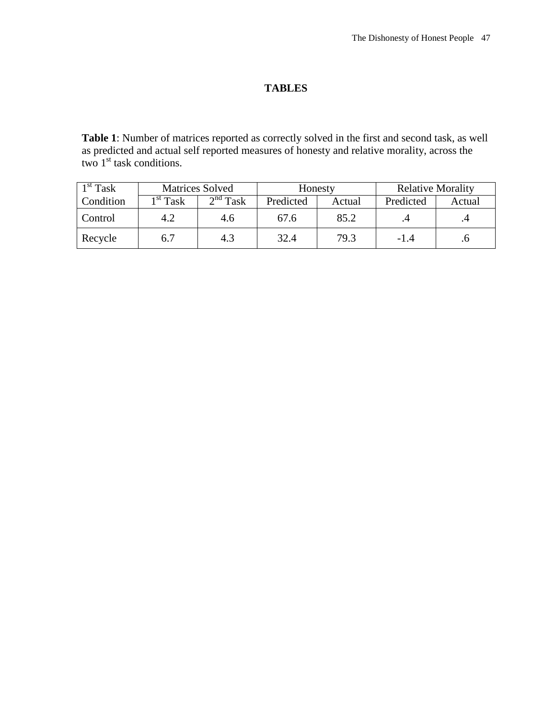### **TABLES**

**Table 1**: Number of matrices reported as correctly solved in the first and second task, as well as predicted and actual self reported measures of honesty and relative morality, across the two  $1<sup>st</sup>$  task conditions.

| $1st$ Task | <b>Matrices Solved</b> |            | Honesty   |        | <b>Relative Morality</b> |        |
|------------|------------------------|------------|-----------|--------|--------------------------|--------|
| Condition  | $1^\mathrm{st}$ Task   | $2nd$ Task | Predicted | Actual | Predicted                | Actual |
| Control    | 4.2                    | 4.6        | 67.6      | 85.2   |                          |        |
| Recycle    | 6.7                    | 4.3        | 32.4      | 79.3   | $-1.4$                   |        |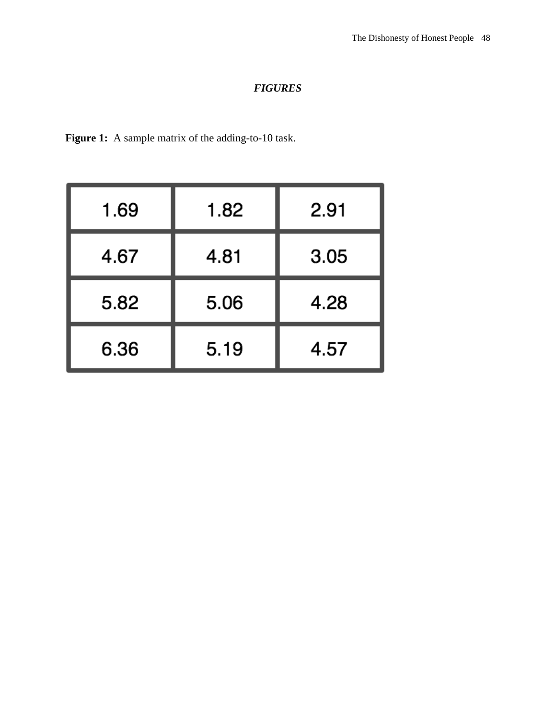### *FIGURES*

Figure 1: A sample matrix of the adding-to-10 task.

| 1.69 | 1.82 | 2.91 |  |
|------|------|------|--|
| 4.67 | 4.81 | 3.05 |  |
| 5.82 | 5.06 | 4.28 |  |
| 6.36 | 5.19 | 4.57 |  |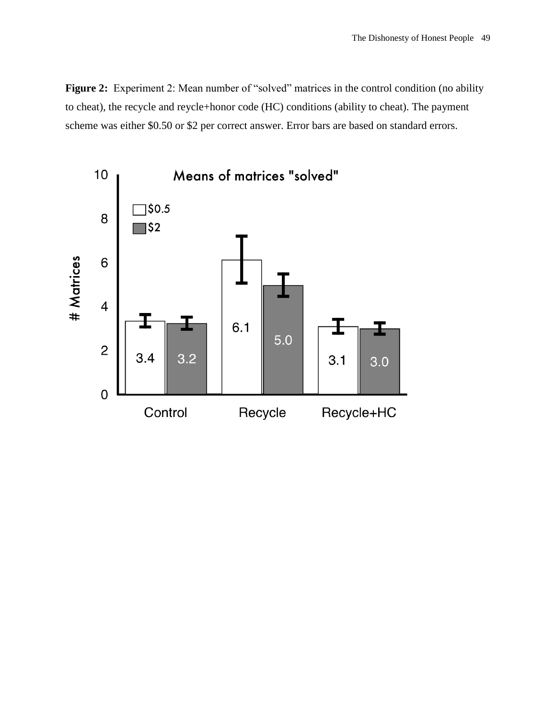Figure 2: Experiment 2: Mean number of "solved" matrices in the control condition (no ability to cheat), the recycle and reycle+honor code (HC) conditions (ability to cheat). The payment scheme was either \$0.50 or \$2 per correct answer. Error bars are based on standard errors.